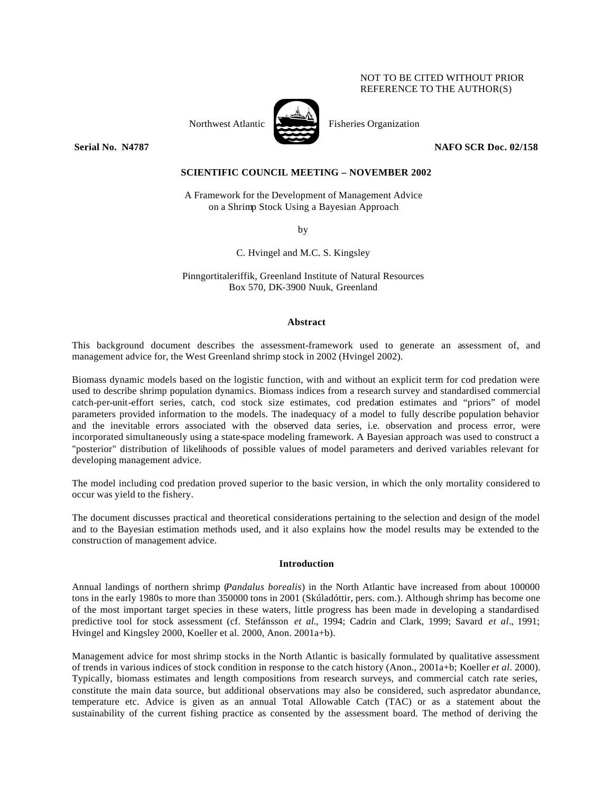# NOT TO BE CITED WITHOUT PRIOR REFERENCE TO THE AUTHOR(S)



Northwest Atlantic Fisheries Organization

**Serial No. N4787** NAFO SCR Doc. 02/158

# **SCIENTIFIC COUNCIL MEETING – NOVEMBER 2002**

A Framework for the Development of Management Advice on a Shrimp Stock Using a Bayesian Approach

by

C. Hvingel and M.C. S. Kingsley

Pinngortitaleriffik, Greenland Institute of Natural Resources Box 570, DK-3900 Nuuk, Greenland

#### **Abstract**

This background document describes the assessment-framework used to generate an assessment of, and management advice for, the West Greenland shrimp stock in 2002 (Hvingel 2002).

Biomass dynamic models based on the logistic function, with and without an explicit term for cod predation were used to describe shrimp population dynamics. Biomass indices from a research survey and standardised commercial catch-per-unit-effort series, catch, cod stock size estimates, cod predation estimates and "priors" of model parameters provided information to the models. The inadequacy of a model to fully describe population behavior and the inevitable errors associated with the observed data series, i.e. observation and process error, were incorporated simultaneously using a state-space modeling framework. A Bayesian approach was used to construct a "posterior" distribution of likelihoods of possible values of model parameters and derived variables relevant for developing management advice.

The model including cod predation proved superior to the basic version, in which the only mortality considered to occur was yield to the fishery.

The document discusses practical and theoretical considerations pertaining to the selection and design of the model and to the Bayesian estimation methods used, and it also explains how the model results may be extended to the construction of management advice.

#### **Introduction**

Annual landings of northern shrimp (*Pandalus borealis*) in the North Atlantic have increased from about 100000 tons in the early 1980s to more than 350000 tons in 2001 (Skúladóttir, pers. com.). Although shrimp has become one of the most important target species in these waters, little progress has been made in developing a standardised predictive tool for stock assessment (cf. Stefánsson *et al.*, 1994; Cadrin and Clark, 1999; Savard *et al.*, 1991; Hvingel and Kingsley 2000, Koeller et al. 2000, Anon. 2001a+b).

Management advice for most shrimp stocks in the North Atlantic is basically formulated by qualitative assessment of trends in various indices of stock condition in response to the catch history (Anon., 2001a+b; Koeller *et al.* 2000). Typically, biomass estimates and length compositions from research surveys, and commercial catch rate series, constitute the main data source, but additional observations may also be considered, such aspredator abundance, temperature etc. Advice is given as an annual Total Allowable Catch (TAC) or as a statement about the sustainability of the current fishing practice as consented by the assessment board. The method of deriving the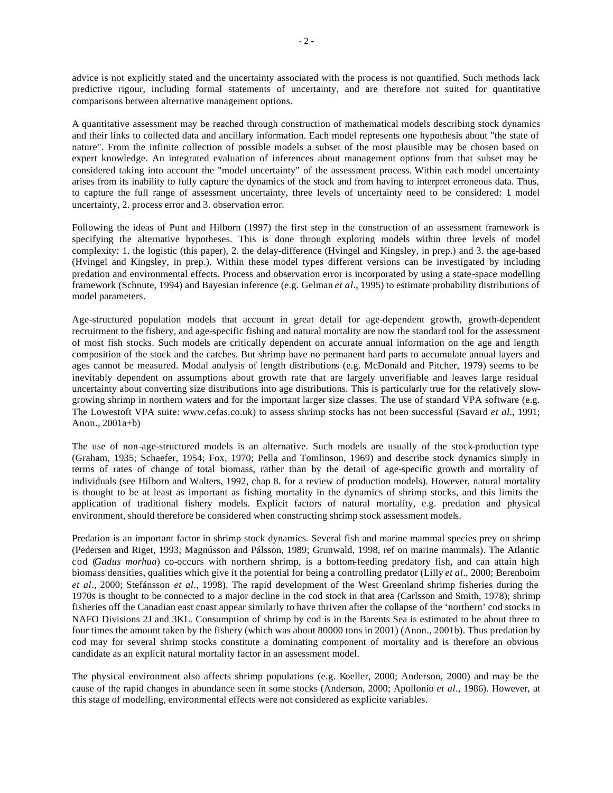advice is not explicitly stated and the uncertainty associated with the process is not quantified. Such methods lack predictive rigour, including formal statements of uncertainty, and are therefore not suited for quantitative comparisons between alternative management options.

A quantitative assessment may be reached through construction of mathematical models describing stock dynamics and their links to collected data and ancillary information. Each model represents one hypothesis about "the state of nature". From the infinite collection of possible models a subset of the most plausible may be chosen based on expert knowledge. An integrated evaluation of inferences about management options from that subset may be considered taking into account the "model uncertainty" of the assessment process. Within each model uncertainty arises from its inability to fully capture the dynamics of the stock and from having to interpret erroneous data. Thus, to capture the full range of assessment uncertainty, three levels of uncertainty need to be considered: 1. model uncertainty, 2. process error and 3. observation error.

Following the ideas of Punt and Hilborn (1997) the first step in the construction of an assessment framework is specifying the alternative hypotheses. This is done through exploring models within three levels of model complexity: 1. the logistic (this paper), 2. the delay-difference (Hvingel and Kingsley, in prep.) and 3. the age-based (Hvingel and Kingsley, in prep.). Within these model types different versions can be investigated by including predation and environmental effects. Process and observation error is incorporated by using a state-space modelling framework (Schnute, 1994) and Bayesian inference (e.g. Gelman *et al.*, 1995) to estimate probability distributions of model parameters.

Age-structured population models that account in great detail for age-dependent growth, growth-dependent recruitment to the fishery, and age-specific fishing and natural mortality are now the standard tool for the assessment of most fish stocks. Such models are critically dependent on accurate annual information on the age and length composition of the stock and the catches. But shrimp have no permanent hard parts to accumulate annual layers and ages cannot be measured. Modal analysis of length distributions (e.g. McDonald and Pitcher, 1979) seems to be inevitably dependent on assumptions about growth rate that are largely unverifiable and leaves large residual uncertainty about converting size distributions into age distributions. This is particularly true for the relatively slowgrowing shrimp in northern waters and for the important larger size classes. The use of standard VPA software (e.g. The Lowestoft VPA suite: www.cefas.co.uk) to assess shrimp stocks has not been successful (Savard *et al.*, 1991; Anon., 2001a+b)

The use of non-age-structured models is an alternative. Such models are usually of the stock-production type (Graham, 1935; Schaefer, 1954; Fox, 1970; Pella and Tomlinson, 1969) and describe stock dynamics simply in terms of rates of change of total biomass, rather than by the detail of age-specific growth and mortality of individuals (see Hilborn and Walters, 1992, chap 8. for a review of production models). However, natural mortality is thought to be at least as important as fishing mortality in the dynamics of shrimp stocks, and this limits the application of traditional fishery models. Explicit factors of natural mortality, e.g. predation and physical environment, should therefore be considered when constructing shrimp stock assessment models.

Predation is an important factor in shrimp stock dynamics. Several fish and marine mammal species prey on shrimp (Pedersen and Riget, 1993; Magnússon and Pálsson, 1989; Grunwald, 1998, ref on marine mammals). The Atlantic cod (*Gadus morhua*) co-occurs with northern shrimp, is a bottom-feeding predatory fish, and can attain high biomass densities, qualities which give it the potential for being a controlling predator (Lilly *et al*., 2000; Berenboim *et al*., 2000; Stefánsson *et al*., 1998). The rapid development of the West Greenland shrimp fisheries during the 1970s is thought to be connected to a major decline in the cod stock in that area (Carlsson and Smith, 1978); shrimp fisheries off the Canadian east coast appear similarly to have thriven after the collapse of the 'northern' cod stocks in NAFO Divisions 2J and 3KL. Consumption of shrimp by cod is in the Barents Sea is estimated to be about three to four times the amount taken by the fishery (which was about 80000 tons in 2001) (Anon., 2001b). Thus predation by cod may for several shrimp stocks constitute a dominating component of mortality and is therefore an obvious candidate as an explicit natural mortality factor in an assessment model.

The physical environment also affects shrimp populations (e.g. Koeller, 2000; Anderson, 2000) and may be the cause of the rapid changes in abundance seen in some stocks (Anderson, 2000; Apollonio *et al*., 1986). However, at this stage of modelling, environmental effects were not considered as explicite variables.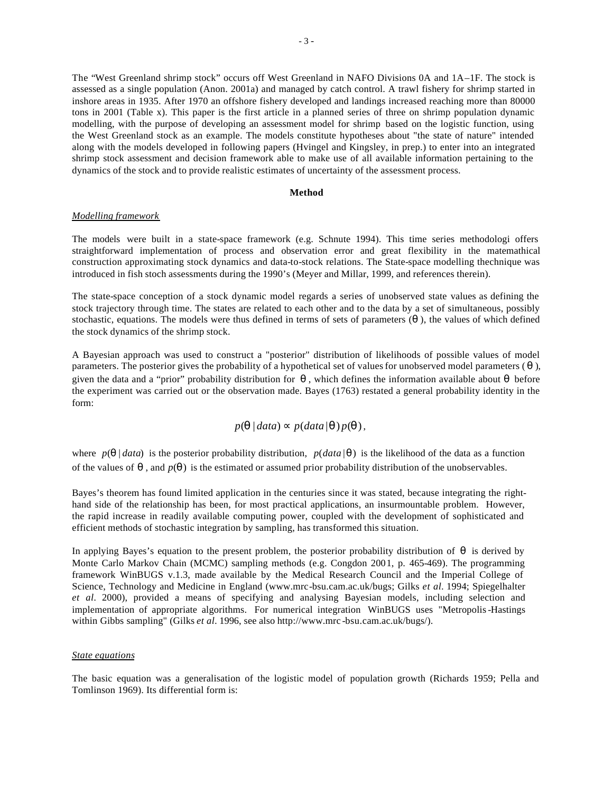The "West Greenland shrimp stock" occurs off West Greenland in NAFO Divisions 0A and 1A–1F. The stock is assessed as a single population (Anon. 2001a) and managed by catch control. A trawl fishery for shrimp started in inshore areas in 1935. After 1970 an offshore fishery developed and landings increased reaching more than 80000 tons in 2001 (Table x). This paper is the first article in a planned series of three on shrimp population dynamic modelling, with the purpose of developing an assessment model for shrimp based on the logistic function, using the West Greenland stock as an example. The models constitute hypotheses about "the state of nature" intended along with the models developed in following papers (Hvingel and Kingsley, in prep.) to enter into an integrated shrimp stock assessment and decision framework able to make use of all available information pertaining to the dynamics of the stock and to provide realistic estimates of uncertainty of the assessment process.

# **Method**

## *Modelling framework*

The models were built in a state-space framework (e.g. Schnute 1994). This time series methodologi offers straightforward implementation of process and observation error and great flexibility in the matemathical construction approximating stock dynamics and data-to-stock relations. The State-space modelling thechnique was introduced in fish stoch assessments during the 1990's (Meyer and Millar, 1999, and references therein).

The state-space conception of a stock dynamic model regards a series of unobserved state values as defining the stock trajectory through time. The states are related to each other and to the data by a set of simultaneous, possibly stochastic, equations. The models were thus defined in terms of sets of parameters  $(q)$ , the values of which defined the stock dynamics of the shrimp stock.

A Bayesian approach was used to construct a "posterior" distribution of likelihoods of possible values of model parameters. The posterior gives the probability of a hypothetical set of values for unobserved model parameters ( *q* ), given the data and a "prior" probability distribution for  $q$ , which defines the information available about  $q$  before the experiment was carried out or the observation made. Bayes (1763) restated a general probability identity in the form:

$$
p(\mathbf{q} | data) \propto p(data | \mathbf{q}) p(\mathbf{q}),
$$

where  $p(\mathbf{q} | data)$  is the posterior probability distribution,  $p(data | \mathbf{q})$  is the likelihood of the data as a function of the values of *q* , and *p*(*q* ) is the estimated or assumed prior probability distribution of the unobservables.

Bayes's theorem has found limited application in the centuries since it was stated, because integrating the righthand side of the relationship has been, for most practical applications, an insurmountable problem. However, the rapid increase in readily available computing power, coupled with the development of sophisticated and efficient methods of stochastic integration by sampling, has transformed this situation.

In applying Bayes's equation to the present problem, the posterior probability distribution of  $q$  is derived by Monte Carlo Markov Chain (MCMC) sampling methods (e.g. Congdon 2001, p. 465-469). The programming framework WinBUGS v.1.3, made available by the Medical Research Council and the Imperial College of Science, Technology and Medicine in England (www.mrc-bsu.cam.ac.uk/bugs; Gilks *et al.* 1994; Spiegelhalter *et al.* 2000), provided a means of specifying and analysing Bayesian models, including selection and implementation of appropriate algorithms. For numerical integration WinBUGS uses "Metropolis-Hastings within Gibbs sampling" (Gilks *et al.* 1996, see also http://www.mrc -bsu.cam.ac.uk/bugs/).

# *State equations*

The basic equation was a generalisation of the logistic model of population growth (Richards 1959; Pella and Tomlinson 1969). Its differential form is: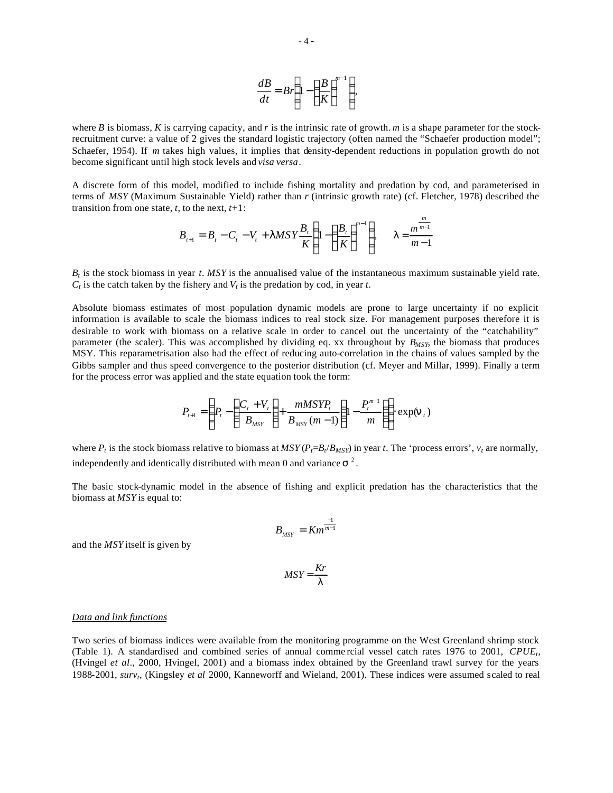$$
\frac{dB}{dt} = Br\left(1 - \left(\frac{B}{K}\right)^{m-1}\right),\,
$$

where *B* is biomass, *K* is carrying capacity, and *r* is the intrinsic rate of growth. *m* is a shape parameter for the stockrecruitment curve: a value of 2 gives the standard logistic trajectory (often named the "Schaefer production model"; Schaefer, 1954). If *m* takes high values, it implies that density-dependent reductions in population growth do not become significant until high stock levels and *visa versa*.

A discrete form of this model, modified to include fishing mortality and predation by cod, and parameterised in terms of *MSY* (Maximum Sustainable Yield) rather than *r* (intrinsic growth rate) (cf. Fletcher, 1978) described the transition from one state,  $t$ , to the next,  $t+1$ :

$$
B_{t+1} = B_t - C_t - V_t + IMSY \frac{B_t}{K} \left( 1 - \left( \frac{B_t}{K} \right)^{m-1} \right), \quad I = \frac{m^{m-1}}{m-1}
$$

*m*

 $B_t$  is the stock biomass in year *t*. *MSY* is the annualised value of the instantaneous maximum sustainable yield rate.  $C_t$  is the catch taken by the fishery and  $V_t$  is the predation by cod, in year *t*.

Absolute biomass estimates of most population dynamic models are prone to large uncertainty if no explicit information is available to scale the biomass indices to real stock size. For management purposes therefore it is desirable to work with biomass on a relative scale in order to cancel out the uncertainty of the "catchability" parameter (the scaler). This was accomplished by dividing eq. xx throughout by *BMSY*, the biomass that produces MSY. This reparametrisation also had the effect of reducing auto-correlation in the chains of values sampled by the Gibbs sampler and thus speed convergence to the posterior distribution (cf. Meyer and Millar, 1999). Finally a term for the process error was applied and the state equation took the form:

$$
P_{t+1} = \left(P_t - \left(\frac{C_t + V_t}{B_{MST}}\right) + \frac{mMSYP_t}{B_{MST}(m-1)} \left(1 - \frac{P_t^{m-1}}{m}\right)\right) \exp(\mathbf{n}_t)
$$

where  $P_t$  is the stock biomass relative to biomass at  $MSY(P_t=B_t/B_{MSY})$  in year *t*. The 'process errors',  $v_t$  are normally, independently and identically distributed with mean 0 and variance  $s^2$ .

The basic stock-dynamic model in the absence of fishing and explicit predation has the characteristics that the biomass at *MSY* is equal to:

$$
B_{MSY} = K m^{\frac{-1}{m-1}}
$$

and the *MSY* itself is given by

$$
MSY = \frac{Kr}{I}
$$

## *Data and link functions*

Two series of biomass indices were available from the monitoring programme on the West Greenland shrimp stock (Table 1). A standardised and combined series of annual comme rcial vessel catch rates 1976 to 2001, *CPUE<sup>t</sup>* , (Hvingel *et al*., 2000, Hvingel, 2001) and a biomass index obtained by the Greenland trawl survey for the years 1988-2001, *surv<sup>t</sup>* , (Kingsley *et al* 2000, Kanneworff and Wieland, 2001). These indices were assumed scaled to real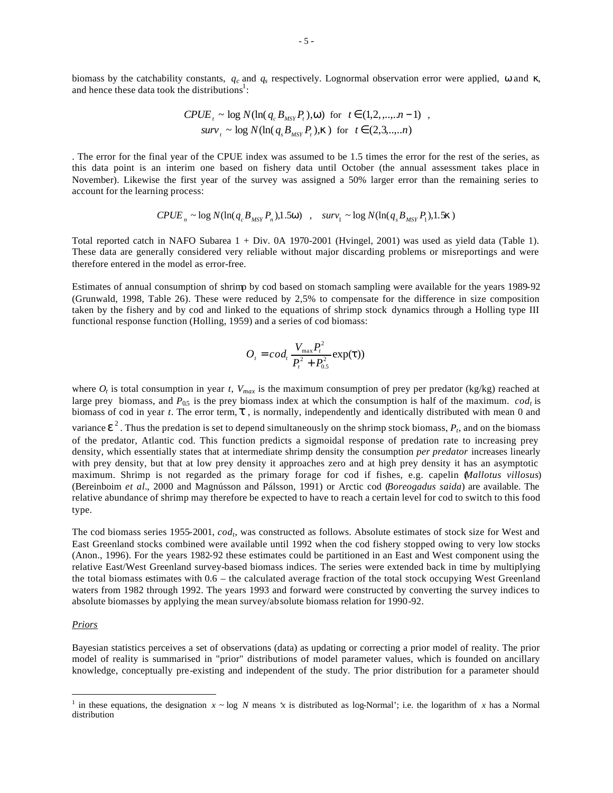biomass by the catchability constants, *q<sup>c</sup>* and *q<sup>s</sup>* respectively. Lognormal observation error were applied, *w* and *k*, and hence these data took the distributions<sup>1</sup>:

$$
CPUE_t \sim \log N(\ln(q_c B_{MSY} P_t), w) \text{ for } t \in (1, 2, ..., n-1) ,
$$
  

$$
surv_t \sim \log N(\ln(q_s B_{MSY} P_t), k) \text{ for } t \in (2, 3, ..., n)
$$

. The error for the final year of the CPUE index was assumed to be 1.5 times the error for the rest of the series, as this data point is an interim one based on fishery data until October (the annual assessment takes place in November). Likewise the first year of the survey was assigned a 50% larger error than the remaining series to account for the learning process:

$$
CPUE_n \sim \log N(\ln(q_c B_{MST} P_n), 1.5 \mathbf{w}) \quad , \quad \text{surv}_1 \sim \log N(\ln(q_s B_{MST} P_1), 1.5 \mathbf{k})
$$

Total reported catch in NAFO Subarea 1 + Div. 0A 1970-2001 (Hvingel, 2001) was used as yield data (Table 1). These data are generally considered very reliable without major discarding problems or misreportings and were therefore entered in the model as error-free.

Estimates of annual consumption of shrimp by cod based on stomach sampling were available for the years 1989-92 (Grunwald, 1998, Table 26). These were reduced by 2,5% to compensate for the difference in size composition taken by the fishery and by cod and linked to the equations of shrimp stock dynamics through a Holling type III functional response function (Holling, 1959) and a series of cod biomass:

$$
O_{t} = cod_{t} \frac{V_{\max} P_{t}^{2}}{P_{t}^{2} + P_{0.5}^{2}} \exp(t))
$$

where  $O_t$  is total consumption in year *t*,  $V_{max}$  is the maximum consumption of prey per predator (kg/kg) reached at large prey biomass, and  $P_{0.5}$  is the prey biomass index at which the consumption is half of the maximum.  $cod_t$  is biomass of cod in year *t*. The error term, *t* , is normally, independently and identically distributed with mean 0 and variance  $e^2$ . Thus the predation is set to depend simultaneously on the shrimp stock biomass,  $P_t$ , and on the biomass of the predator, Atlantic cod. This function predicts a sigmoidal response of predation rate to increasing prey density, which essentially states that at intermediate shrimp density the consumption *per predator* increases linearly with prey density, but that at low prey density it approaches zero and at high prey density it has an asymptotic maximum. Shrimp is not regarded as the primary forage for cod if fishes, e.g. capelin (*Mallotus villosus*) (Bereinboim *et al.*, 2000 and Magnússon and Pálsson, 1991) or Arctic cod (*Boreogadus saida*) are available. The relative abundance of shrimp may therefore be expected to have to reach a certain level for cod to switch to this food type.

The cod biomass series 1955-2001, *cod<sup>t</sup>* , was constructed as follows. Absolute estimates of stock size for West and East Greenland stocks combined were available until 1992 when the cod fishery stopped owing to very low stocks (Anon., 1996). For the years 1982-92 these estimates could be partitioned in an East and West component using the relative East/West Greenland survey-based biomass indices. The series were extended back in time by multiplying the total biomass estimates with  $0.6 -$  the calculated average fraction of the total stock occupying West Greenland waters from 1982 through 1992. The years 1993 and forward were constructed by converting the survey indices to absolute biomasses by applying the mean survey/absolute biomass relation for 1990-92.

# *Priors*

 $\overline{a}$ 

Bayesian statistics perceives a set of observations (data) as updating or correcting a prior model of reality. The prior model of reality is summarised in "prior" distributions of model parameter values, which is founded on ancillary knowledge, conceptually pre-existing and independent of the study. The prior distribution for a parameter should

<sup>&</sup>lt;sup>1</sup> in these equations, the designation  $x \sim \log N$  means *'x* is distributed as log-Normal'; i.e. the logarithm of *x* has a Normal distribution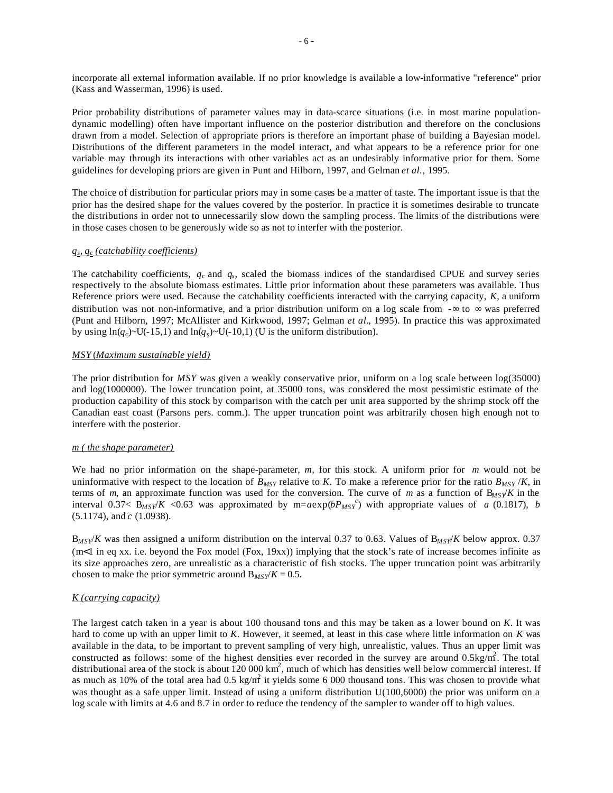incorporate all external information available. If no prior knowledge is available a low-informative "reference" prior (Kass and Wasserman, 1996) is used.

Prior probability distributions of parameter values may in data-scarce situations (i.e. in most marine populationdynamic modelling) often have important influence on the posterior distribution and therefore on the conclusions drawn from a model. Selection of appropriate priors is therefore an important phase of building a Bayesian model. Distributions of the different parameters in the model interact, and what appears to be a reference prior for one variable may through its interactions with other variables act as an undesirably informative prior for them. Some guidelines for developing priors are given in Punt and Hilborn, 1997, and Gelman *et al.*, 1995.

The choice of distribution for particular priors may in some cases be a matter of taste. The important issue is that the prior has the desired shape for the values covered by the posterior. In practice it is sometimes desirable to truncate the distributions in order not to unnecessarily slow down the sampling process. The limits of the distributions were in those cases chosen to be generously wide so as not to interfer with the posterior.

# *qs , q<sup>c</sup> (catchability coefficients)*

The catchability coefficients,  $q_c$  and  $q_s$ , scaled the biomass indices of the standardised CPUE and survey series respectively to the absolute biomass estimates. Little prior information about these parameters was available. Thus Reference priors were used. Because the catchability coefficients interacted with the carrying capacity, *K*, a uniform distribution was not non-informative, and a prior distribution uniform on a log scale from -∞ to ∞ was preferred (Punt and Hilborn, 1997; McAllister and Kirkwood, 1997; Gelman *et al.*, 1995). In practice this was approximated by using  $\ln(q_c)$ ~U(-15,1) and  $\ln(q_s)$ ~U(-10,1) (U is the uniform distribution).

# *MSY* (*Maximum sustainable yield)*

The prior distribution for *MSY* was given a weakly conservative prior, uniform on a log scale between log(35000) and log(1000000). The lower truncation point, at 35000 tons, was considered the most pessimistic estimate of the production capability of this stock by comparison with the catch per unit area supported by the shrimp stock off the Canadian east coast (Parsons pers. comm.). The upper truncation point was arbitrarily chosen high enough not to interfere with the posterior.

#### *m ( the shape parameter)*

We had no prior information on the shape-parameter, *m,* for this stock. A uniform prior for *m* would not be uninformative with respect to the location of  $B_{MSY}$  relative to *K*. To make a reference prior for the ratio  $B_{MSY}$  /*K*, in terms of *m*, an approximate function was used for the conversion. The curve of *m* as a function of  $B_{MSY}/K$  in the interval 0.37<  $\frac{B_{MSY}}{K}$  <0.63 was approximated by m=*a*exp( $bP_{MSY}^c$ ) with appropriate values of *a* (0.1817), *b* (5.1174), and *c* (1.0938).

B*MSY*/*K* was then assigned a uniform distribution on the interval 0.37 to 0.63. Values of B*MSY*/*K* below approx. 0.37  $(m<1)$  in eq xx. i.e. beyond the Fox model (Fox, 19xx)) implying that the stock's rate of increase becomes infinite as its size approaches zero, are unrealistic as a characteristic of fish stocks. The upper truncation point was arbitrarily chosen to make the prior symmetric around  $B_{MSY}/K = 0.5$ .

# *K (carrying capacity)*

The largest catch taken in a year is about 100 thousand tons and this may be taken as a lower bound on *K*. It was hard to come up with an upper limit to *K*. However, it seemed, at least in this case where little information on *K* was available in the data, to be important to prevent sampling of very high, unrealistic, values. Thus an upper limit was constructed as follows: some of the highest densities ever recorded in the survey are around  $0.5 \text{kg/m}^2$ . The total distributional area of the stock is about  $120000 \text{ km}^2$ , much of which has densities well below commercial interest. If as much as 10% of the total area had  $0.5 \text{ kg/m}^2$  it yields some 6 000 thousand tons. This was chosen to provide what was thought as a safe upper limit. Instead of using a uniform distribution U(100,6000) the prior was uniform on a log scale with limits at 4.6 and 8.7 in order to reduce the tendency of the sampler to wander off to high values.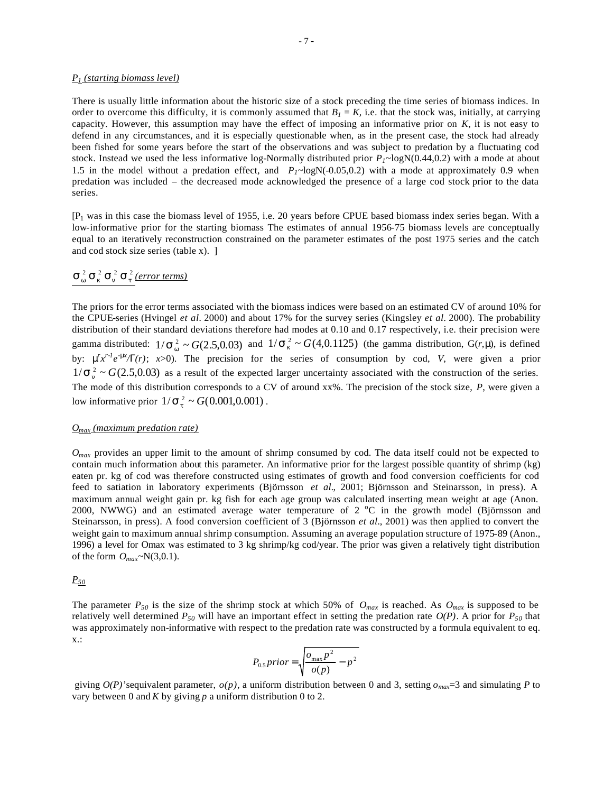#### *P1 (starting biomass level)*

There is usually little information about the historic size of a stock preceding the time series of biomass indices. In order to overcome this difficulty, it is commonly assumed that  $B<sub>l</sub> = K$ , i.e. that the stock was, initially, at carrying capacity. However, this assumption may have the effect of imposing an informative prior on *K*, it is not easy to defend in any circumstances, and it is especially questionable when, as in the present case, the stock had already been fished for some years before the start of the observations and was subject to predation by a fluctuating cod stock. Instead we used the less informative log-Normally distributed prior  $P_I \sim logN(0.44,0.2)$  with a mode at about 1.5 in the model without a predation effect, and  $P_I \sim log N(-0.05,0.2)$  with a mode at approximately 0.9 when predation was included – the decreased mode acknowledged the presence of a large cod stock prior to the data series.

[P1 was in this case the biomass level of 1955, i.e. 20 years before CPUE based biomass index series began. With a low-informative prior for the starting biomass The estimates of annual 1956-75 biomass levels are conceptually equal to an iteratively reconstruction constrained on the parameter estimates of the post 1975 series and the catch and cod stock size series (table x). ]

# $S_w^2 S_k^2 S_n^2 S_t^2$  (error terms)

The priors for the error terms associated with the biomass indices were based on an estimated CV of around 10% for the CPUE-series (Hvingel *et al.* 2000) and about 17% for the survey series (Kingsley *et al.* 2000). The probability distribution of their standard deviations therefore had modes at 0.10 and 0.17 respectively, i.e. their precision were gamma distributed:  $1/\mathbf{s}_w^2 \sim G(2.5,0.03)$  and  $1/\mathbf{s}_k^2 \sim G(4,0.1125)$  (the gamma distribution,  $G(r,m)$ , is defined by:  $\mathbf{m}^t x^{r-l} e^{-\mathbf{m}x}/\mathbf{G}(r)$ ;  $x>0$ ). The precision for the series of consumption by cod, *V*, were given a prior  $1/\mathbf{s}_n^2 \sim G(2.5, 0.03)$  as a result of the expected larger uncertainty associated with the construction of the series. The mode of this distribution corresponds to a CV of around xx%. The precision of the stock size, *P*, were given a low informative prior  $1/\mathbf{s}_t^2 \sim G(0.001, 0.001)$ .

# *Omax (maximum predation rate)*

*Omax* provides an upper limit to the amount of shrimp consumed by cod. The data itself could not be expected to contain much information about this parameter. An informative prior for the largest possible quantity of shrimp (kg) eaten pr. kg of cod was therefore constructed using estimates of growth and food conversion coefficients for cod feed to satiation in laboratory experiments (Björnsson *et al.*, 2001; Björnsson and Steinarsson, in press). A maximum annual weight gain pr. kg fish for each age group was calculated inserting mean weight at age (Anon. 2000, NWWG) and an estimated average water temperature of  $2^{\circ}C$  in the growth model (Björnsson and Steinarsson, in press). A food conversion coefficient of 3 (Björnsson *et al.*, 2001) was then applied to convert the weight gain to maximum annual shrimp consumption. Assuming an average population structure of 1975-89 (Anon., 1996) a level for Omax was estimated to 3 kg shrimp/kg cod/year. The prior was given a relatively tight distribution of the form *Omax*~N(3,0.1).

*P<sup>50</sup>*

The parameter  $P_{50}$  is the size of the shrimp stock at which 50% of  $O_{max}$  is reached. As  $O_{max}$  is supposed to be relatively well determined  $P_{50}$  will have an important effect in setting the predation rate  $O(P)$ . A prior for  $P_{50}$  that was approximately non-informative with respect to the predation rate was constructed by a formula equivalent to eq. x.:

$$
P_{0.5}prior = \sqrt{\frac{o_{\text{max}}p^2}{o(p)} - p^2}
$$

giving  $O(P)$ 'sequivalent parameter,  $o(p)$ , a uniform distribution between 0 and 3, setting  $o_{max}$ =3 and simulating P to vary between 0 and *K* by giving *p* a uniform distribution 0 to 2.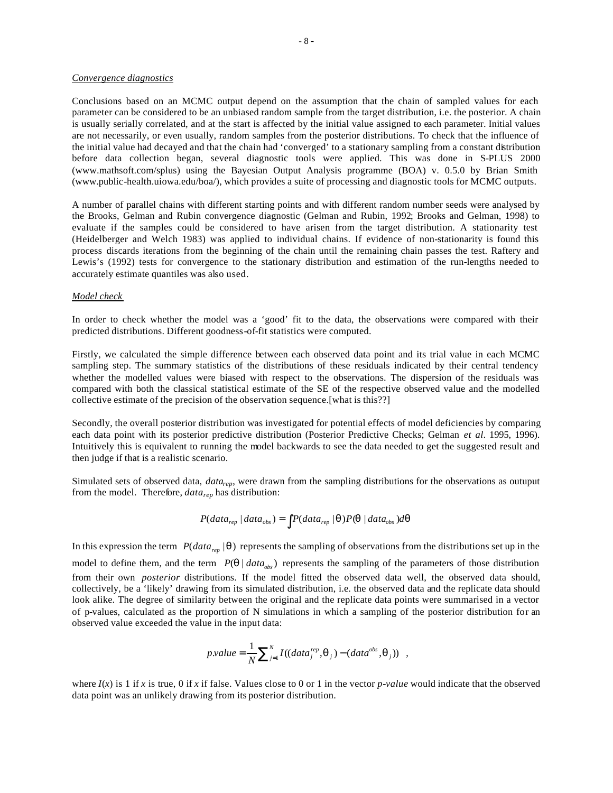#### *Convergence diagnostics*

Conclusions based on an MCMC output depend on the assumption that the chain of sampled values for each parameter can be considered to be an unbiased random sample from the target distribution, i.e. the posterior. A chain is usually serially correlated, and at the start is affected by the initial value assigned to each parameter. Initial values are not necessarily, or even usually, random samples from the posterior distributions. To check that the influence of the initial value had decayed and that the chain had 'converged' to a stationary sampling from a constant distribution before data collection began, several diagnostic tools were applied. This was done in S-PLUS 2000 (www.mathsoft.com/splus) using the Bayesian Output Analysis programme (BOA) v. 0.5.0 by Brian Smith (www.public-health.uiowa.edu/boa/), which provides a suite of processing and diagnostic tools for MCMC outputs.

A number of parallel chains with different starting points and with different random number seeds were analysed by the Brooks, Gelman and Rubin convergence diagnostic (Gelman and Rubin, 1992; Brooks and Gelman, 1998) to evaluate if the samples could be considered to have arisen from the target distribution. A stationarity test (Heidelberger and Welch 1983) was applied to individual chains. If evidence of non-stationarity is found this process discards iterations from the beginning of the chain until the remaining chain passes the test. Raftery and Lewis's (1992) tests for convergence to the stationary distribution and estimation of the run-lengths needed to accurately estimate quantiles was also used.

# *Model check*

In order to check whether the model was a 'good' fit to the data, the observations were compared with their predicted distributions. Different goodness-of-fit statistics were computed.

Firstly, we calculated the simple difference between each observed data point and its trial value in each MCMC sampling step. The summary statistics of the distributions of these residuals indicated by their central tendency whether the modelled values were biased with respect to the observations. The dispersion of the residuals was compared with both the classical statistical estimate of the SE of the respective observed value and the modelled collective estimate of the precision of the observation sequence.[what is this??]

Secondly, the overall posterior distribution was investigated for potential effects of model deficiencies by comparing each data point with its posterior predictive distribution (Posterior Predictive Checks; Gelman *et al.* 1995, 1996). Intuitively this is equivalent to running the model backwards to see the data needed to get the suggested result and then judge if that is a realistic scenario.

Simulated sets of observed data, *datarep*, were drawn from the sampling distributions for the observations as outuput from the model. Therefore, *datarep* has distribution:

$$
P(data_{rep} | data_{obs}) = \int P(data_{rep} | \mathbf{q}) P(\mathbf{q} | data_{obs}) d\mathbf{q}
$$

In this expression the term  $P(data_{rep} | q)$  represents the sampling of observations from the distributions set up in the model to define them, and the term  $P(q | data_{obs})$  represents the sampling of the parameters of those distribution from their own *posterior* distributions. If the model fitted the observed data well, the observed data should, collectively, be a 'likely' drawing from its simulated distribution, i.e. the observed data and the replicate data should look alike. The degree of similarity between the original and the replicate data points were summarised in a vector of p-values, calculated as the proportion of N simulations in which a sampling of the posterior distribution for an observed value exceeded the value in the input data:

$$
p.value = \frac{1}{N} \sum_{j=1}^{N} I((data_j^{rep}, \boldsymbol{q}_j) - (data^{obs}, \boldsymbol{q}_j)) ,
$$

where  $I(x)$  is 1 if *x* is true, 0 if *x* if false. Values close to 0 or 1 in the vector *p-value* would indicate that the observed data point was an unlikely drawing from its posterior distribution.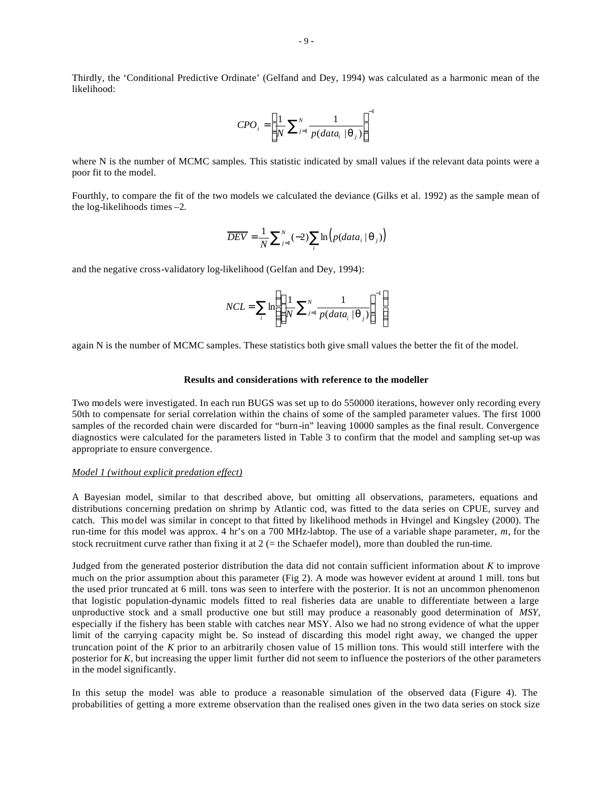Thirdly, the 'Conditional Predictive Ordinate' (Gelfand and Dey, 1994) was calculated as a harmonic mean of the likelihood:

$$
CPO_i = \left[\frac{1}{N}\sum_{j=1}^{N} \frac{1}{p(data_i \mid \boldsymbol{q}_j)}\right]^{-1}
$$

where N is the number of MCMC samples. This statistic indicated by small values if the relevant data points were a poor fit to the model.

Fourthly, to compare the fit of the two models we calculated the deviance (Gilks et al. 1992) as the sample mean of the log-likelihoods times –2.

$$
\overline{DEV} = \frac{1}{N} \sum_{j=1}^{N} (-2) \sum_{i} \ln \left( p(data_i \mid \boldsymbol{q}_j) \right)
$$

and the negative cross-validatory log-likelihood (Gelfan and Dey, 1994):

$$
NCL = \sum_{i} \ln \left( \left[ \frac{1}{N} \sum_{j=1}^{N} \frac{1}{p(data_i | \mathbf{q}_j)} \right]^{-1} \right)
$$

again N is the number of MCMC samples. These statistics both give small values the better the fit of the model.

# **Results and considerations with reference to the modeller**

Two models were investigated. In each run BUGS was set up to do 550000 iterations, however only recording every 50th to compensate for serial correlation within the chains of some of the sampled parameter values. The first 1000 samples of the recorded chain were discarded for "burn-in" leaving 10000 samples as the final result. Convergence diagnostics were calculated for the parameters listed in Table 3 to confirm that the model and sampling set-up was appropriate to ensure convergence.

#### *Model 1 (without explicit predation effect)*

A Bayesian model, similar to that described above, but omitting all observations, parameters, equations and distributions concerning predation on shrimp by Atlantic cod, was fitted to the data series on CPUE, survey and catch. This mo del was similar in concept to that fitted by likelihood methods in Hvingel and Kingsley (2000). The run-time for this model was approx. 4 hr's on a 700 MHz-labtop. The use of a variable shape parameter, *m*, for the stock recruitment curve rather than fixing it at  $2$  (= the Schaefer model), more than doubled the run-time.

Judged from the generated posterior distribution the data did not contain sufficient information about *K* to improve much on the prior assumption about this parameter (Fig 2). A mode was however evident at around 1 mill. tons but the used prior truncated at 6 mill. tons was seen to interfere with the posterior. It is not an uncommon phenomenon that logistic population-dynamic models fitted to real fisheries data are unable to differentiate between a large unproductive stock and a small productive one but still may produce a reasonably good determination of *MSY,*  especially if the fishery has been stable with catches near MSY. Also we had no strong evidence of what the upper limit of the carrying capacity might be. So instead of discarding this model right away, we changed the upper truncation point of the *K* prior to an arbitrarily chosen value of 15 million tons. This would still interfere with the posterior for *K*, but increasing the upper limit further did not seem to influence the posteriors of the other parameters in the model significantly.

In this setup the model was able to produce a reasonable simulation of the observed data (Figure 4). The probabilities of getting a more extreme observation than the realised ones given in the two data series on stock size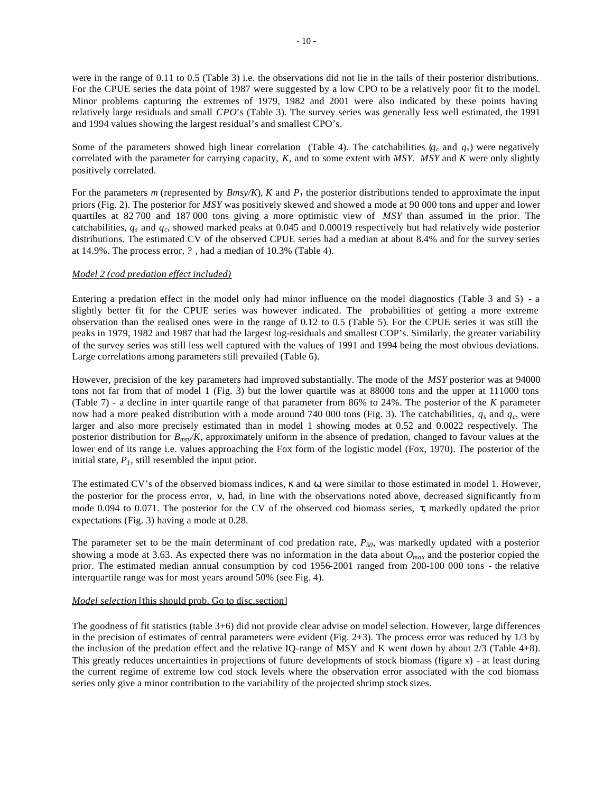were in the range of 0.11 to 0.5 (Table 3) i.e. the observations did not lie in the tails of their posterior distributions. For the CPUE series the data point of 1987 were suggested by a low CPO to be a relatively poor fit to the model. Minor problems capturing the extremes of 1979, 1982 and 2001 were also indicated by these points having relatively large residuals and small *CPO*'s (Table 3). The survey series was generally less well estimated, the 1991 and 1994 values showing the largest residual's and smallest CPO's.

Some of the parameters showed high linear correlation (Table 4). The catchabilities  $(q_c \text{ and } q_s)$  were negatively correlated with the parameter for carrying capacity, *K*, and to some extent with *MSY*. *MSY* and *K* were only slightly positively correlated.

For the parameters *m* (represented by  $Bmsy/K$ ), *K* and  $P<sub>I</sub>$  the posterior distributions tended to approximate the input priors (Fig. 2). The posterior for *MSY* was positively skewed and showed a mode at 90 000 tons and upper and lower quartiles at 82 700 and 187 000 tons giving a more optimistic view of *MSY* than assumed in the prior. The catchabilities, *q<sup>s</sup>* and *q<sup>c</sup>* , showed marked peaks at 0.045 and 0.00019 respectively but had relatively wide posterior distributions. The estimated CV of the observed CPUE series had a median at about 8.4% and for the survey series at 14.9%. The process error, *?* , had a median of 10.3% (Table 4).

# *Model 2 (cod predation effect included)*

Entering a predation effect in the model only had minor influence on the model diagnostics (Table 3 and 5) - a slightly better fit for the CPUE series was however indicated. The probabilities of getting a more extreme observation than the realised ones were in the range of 0.12 to 0.5 (Table 5). For the CPUE series it was still the peaks in 1979, 1982 and 1987 that had the largest log-residuals and smallest COP's. Similarly, the greater variability of the survey series was still less well captured with the values of 1991 and 1994 being the most obvious deviations. Large correlations among parameters still prevailed (Table 6).

However, precision of the key parameters had improved substantially. The mode of the *MSY* posterior was at 94000 tons not far from that of model 1 (Fig. 3) but the lower quartile was at 88000 tons and the upper at 111000 tons (Table 7) - a decline in inter quartile range of that parameter from 86% to 24%. The posterior of the *K* parameter now had a more peaked distribution with a mode around 740 000 tons (Fig. 3). The catchabilities,  $q_s$  and  $q_c$ , were larger and also more precisely estimated than in model 1 showing modes at 0.52 and 0.0022 respectively. The posterior distribution for *Bmsy/K*, approximately uniform in the absence of predation, changed to favour values at the lower end of its range i.e. values approaching the Fox form of the logistic model (Fox, 1970). The posterior of the initial state,  $P<sub>I</sub>$ , still resembled the input prior.

The estimated CV's of the observed biomass indices, *k* and *w*, were similar to those estimated in model 1. However, the posterior for the process error, **n**, had, in line with the observations noted above, decreased significantly from mode 0.094 to 0.071. The posterior for the CV of the observed cod biomass series, *t*, markedly updated the prior expectations (Fig. 3) having a mode at 0.28.

The parameter set to be the main determinant of cod predation rate, *P50*, was markedly updated with a posterior showing a mode at 3.63. As expected there was no information in the data about *Omax* and the posterior copied the prior. The estimated median annual consumption by cod 1956-2001 ranged from 200-100 000 tons - the relative interquartile range was for most years around 50% (see Fig. 4).

# *Model selection* [this should prob. Go to disc.section]

The goodness of fit statistics (table 3+6) did not provide clear advise on model selection. However, large differences in the precision of estimates of central parameters were evident (Fig. 2+3). The process error was reduced by  $1/3$  by the inclusion of the predation effect and the relative IQ-range of MSY and K went down by about 2/3 (Table 4+8). This greatly reduces uncertainties in projections of future developments of stock biomass (figure x) - at least during the current regime of extreme low cod stock levels where the observation error associated with the cod biomass series only give a minor contribution to the variability of the projected shrimp stock sizes.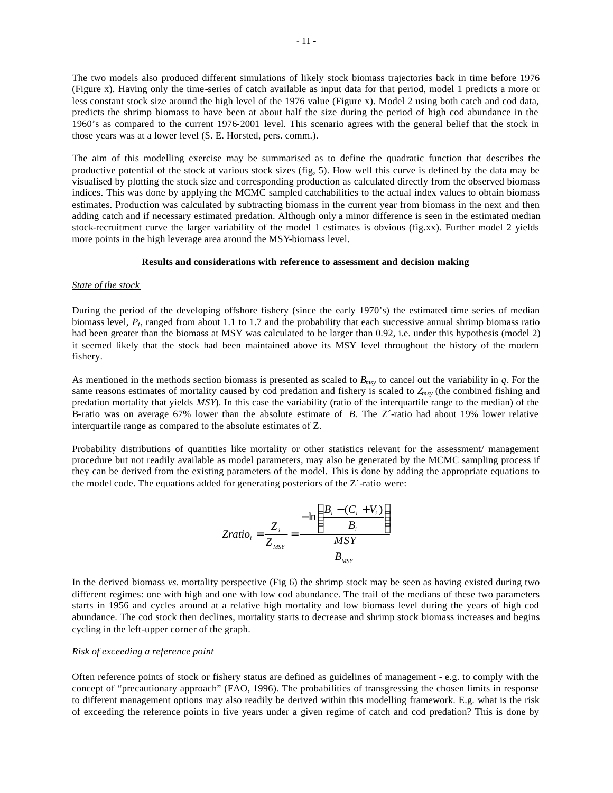The two models also produced different simulations of likely stock biomass trajectories back in time before 1976 (Figure x). Having only the time-series of catch available as input data for that period, model 1 predicts a more or less constant stock size around the high level of the 1976 value (Figure x). Model 2 using both catch and cod data, predicts the shrimp biomass to have been at about half the size during the period of high cod abundance in the 1960's as compared to the current 1976-2001 level. This scenario agrees with the general belief that the stock in those years was at a lower level (S. E. Horsted, pers. comm.).

The aim of this modelling exercise may be summarised as to define the quadratic function that describes the productive potential of the stock at various stock sizes (fig, 5). How well this curve is defined by the data may be visualised by plotting the stock size and corresponding production as calculated directly from the observed biomass indices. This was done by applying the MCMC sampled catchabilities to the actual index values to obtain biomass estimates. Production was calculated by subtracting biomass in the current year from biomass in the next and then adding catch and if necessary estimated predation. Although only a minor difference is seen in the estimated median stock-recruitment curve the larger variability of the model 1 estimates is obvious (fig.xx). Further model 2 yields more points in the high leverage area around the MSY-biomass level.

## **Results and considerations with reference to assessment and decision making**

#### *State of the stock*

During the period of the developing offshore fishery (since the early 1970's) the estimated time series of median biomass level,  $P_t$ , ranged from about 1.1 to 1.7 and the probability that each successive annual shrimp biomass ratio had been greater than the biomass at MSY was calculated to be larger than 0.92, i.e. under this hypothesis (model 2) it seemed likely that the stock had been maintained above its MSY level throughout the history of the modern fishery.

As mentioned in the methods section biomass is presented as scaled to *Bmsy* to cancel out the variability in *q*. For the same reasons estimates of mortality caused by cod predation and fishery is scaled to *Zmsy* (the combined fishing and predation mortality that yields *MSY*). In this case the variability (ratio of the interquartile range to the median) of the B-ratio was on average 67% lower than the absolute estimate of *B*. The Z´-ratio had about 19% lower relative interquartile range as compared to the absolute estimates of Z.

Probability distributions of quantities like mortality or other statistics relevant for the assessment/ management procedure but not readily available as model parameters, may also be generated by the MCMC sampling process if they can be derived from the existing parameters of the model. This is done by adding the appropriate equations to the model code. The equations added for generating posteriors of the Z´-ratio were:

$$
Zratio_i = \frac{Z_i}{Z_{MSY}} = \frac{-\ln\left(\frac{B_i - (C_i + V_i)}{B_i}\right)}{\frac{MSY}{B_{MSY}}}
$$

In the derived biomass *vs.* mortality perspective (Fig 6) the shrimp stock may be seen as having existed during two different regimes: one with high and one with low cod abundance. The trail of the medians of these two parameters starts in 1956 and cycles around at a relative high mortality and low biomass level during the years of high cod abundance. The cod stock then declines, mortality starts to decrease and shrimp stock biomass increases and begins cycling in the left-upper corner of the graph.

### *Risk of exceeding a reference point*

Often reference points of stock or fishery status are defined as guidelines of management - e.g. to comply with the concept of "precautionary approach" (FAO, 1996). The probabilities of transgressing the chosen limits in response to different management options may also readily be derived within this modelling framework. E.g. what is the risk of exceeding the reference points in five years under a given regime of catch and cod predation? This is done by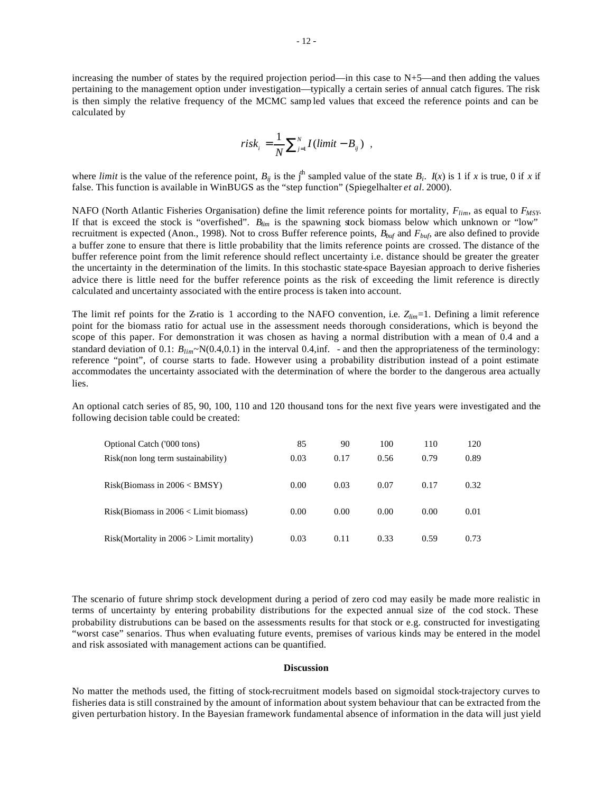increasing the number of states by the required projection period—in this case to N+5—and then adding the values pertaining to the management option under investigation—typically a certain series of annual catch figures. The risk is then simply the relative frequency of the MCMC samp led values that exceed the reference points and can be calculated by

$$
risk_{i} = \frac{1}{N} \sum_{j=1}^{N} I(limit - B_{ij}) ,
$$

where *limit* is the value of the reference point,  $B_{ij}$  is the j<sup>th</sup> sampled value of the state  $B_i$ .  $I(x)$  is 1 if *x* is true, 0 if *x* if false. This function is available in WinBUGS as the "step function" (Spiegelhalter *et al.* 2000).

NAFO (North Atlantic Fisheries Organisation) define the limit reference points for mortality, *Flim*, as equal to *FMSY*. If that is exceed the stock is "overfished". *Blim* is the spawning stock biomass below which unknown or "low" recruitment is expected (Anon., 1998). Not to cross Buffer reference points, *Bbuf* and *Fbuf*, are also defined to provide a buffer zone to ensure that there is little probability that the limits reference points are crossed. The distance of the buffer reference point from the limit reference should reflect uncertainty i.e. distance should be greater the greater the uncertainty in the determination of the limits. In this stochastic state-space Bayesian approach to derive fisheries advice there is little need for the buffer reference points as the risk of exceeding the limit reference is directly calculated and uncertainty associated with the entire process is taken into account.

The limit ref points for the Z-ratio is 1 according to the NAFO convention, i.e. *Zlim*=1. Defining a limit reference point for the biomass ratio for actual use in the assessment needs thorough considerations, which is beyond the scope of this paper. For demonstration it was chosen as having a normal distribution with a mean of 0.4 and a standard deviation of 0.1:  $B_{lim} \sim N(0.4,0.1)$  in the interval 0.4,inf. - and then the appropriateness of the terminology: reference "point", of course starts to fade. However using a probability distribution instead of a point estimate accommodates the uncertainty associated with the determination of where the border to the dangerous area actually lies.

An optional catch series of 85, 90, 100, 110 and 120 thousand tons for the next five years were investigated and the following decision table could be created:

| Optional Catch ('000 tons)                  | 85   | 90   | 100  | 110  | 120  |
|---------------------------------------------|------|------|------|------|------|
| Risk(non long term sustainability)          | 0.03 | 0.17 | 0.56 | 0.79 | 0.89 |
| Risk(Biomass in 2006 < BMSY)                | 0.00 | 0.03 | 0.07 | 0.17 | 0.32 |
| $Risk(Biomass in 2006 < Limit biomass)$     | 0.00 | 0.00 | 0.00 | 0.00 | 0.01 |
| $Risk(Mortality in 2006 > Limit mortality)$ | 0.03 | 0.11 | 0.33 | 0.59 | 0.73 |

The scenario of future shrimp stock development during a period of zero cod may easily be made more realistic in terms of uncertainty by entering probability distributions for the expected annual size of the cod stock. These probability distrubutions can be based on the assessments results for that stock or e.g. constructed for investigating "worst case" senarios. Thus when evaluating future events, premises of various kinds may be entered in the model and risk assosiated with management actions can be quantified.

#### **Discussion**

No matter the methods used, the fitting of stock-recruitment models based on sigmoidal stock-trajectory curves to fisheries data is still constrained by the amount of information about system behaviour that can be extracted from the given perturbation history. In the Bayesian framework fundamental absence of information in the data will just yield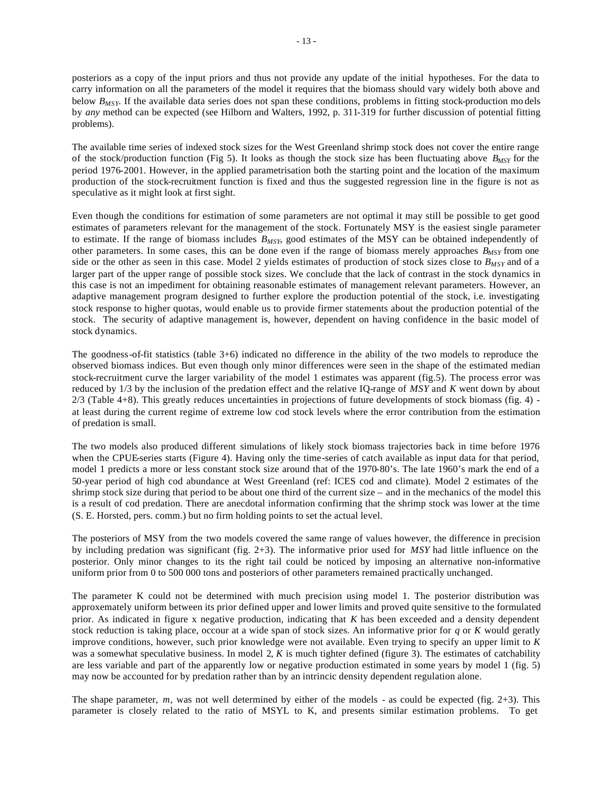posteriors as a copy of the input priors and thus not provide any update of the initial hypotheses. For the data to carry information on all the parameters of the model it requires that the biomass should vary widely both above and below *BMSY*. If the available data series does not span these conditions, problems in fitting stock-production mo dels by *any* method can be expected (see Hilborn and Walters, 1992, p. 311-319 for further discussion of potential fitting problems).

The available time series of indexed stock sizes for the West Greenland shrimp stock does not cover the entire range of the stock/production function (Fig 5). It looks as though the stock size has been fluctuating above *BMSY* for the period 1976-2001. However, in the applied parametrisation both the starting point and the location of the maximum production of the stock-recruitment function is fixed and thus the suggested regression line in the figure is not as speculative as it might look at first sight.

Even though the conditions for estimation of some parameters are not optimal it may still be possible to get good estimates of parameters relevant for the management of the stock. Fortunately MSY is the easiest single parameter to estimate. If the range of biomass includes *BMSY*, good estimates of the MSY can be obtained independently of other parameters. In some cases, this can be done even if the range of biomass merely approaches *BMSY* from one side or the other as seen in this case. Model 2 yields estimates of production of stock sizes close to *BMSY* and of a larger part of the upper range of possible stock sizes. We conclude that the lack of contrast in the stock dynamics in this case is not an impediment for obtaining reasonable estimates of management relevant parameters. However, an adaptive management program designed to further explore the production potential of the stock, i.e. investigating stock response to higher quotas, would enable us to provide firmer statements about the production potential of the stock. The security of adaptive management is, however, dependent on having confidence in the basic model of stock dynamics.

The goodness-of-fit statistics (table 3+6) indicated no difference in the ability of the two models to reproduce the observed biomass indices. But even though only minor differences were seen in the shape of the estimated median stock-recruitment curve the larger variability of the model 1 estimates was apparent (fig.5). The process error was reduced by 1/3 by the inclusion of the predation effect and the relative IQ-range of *MSY* and *K* went down by about 2/3 (Table 4+8). This greatly reduces uncertainties in projections of future developments of stock biomass (fig. 4) at least during the current regime of extreme low cod stock levels where the error contribution from the estimation of predation is small.

The two models also produced different simulations of likely stock biomass trajectories back in time before 1976 when the CPUE-series starts (Figure 4). Having only the time-series of catch available as input data for that period, model 1 predicts a more or less constant stock size around that of the 1970-80's. The late 1960's mark the end of a 50-year period of high cod abundance at West Greenland (ref: ICES cod and climate). Model 2 estimates of the shrimp stock size during that period to be about one third of the current size – and in the mechanics of the model this is a result of cod predation. There are anecdotal information confirming that the shrimp stock was lower at the time (S. E. Horsted, pers. comm.) but no firm holding points to set the actual level.

The posteriors of MSY from the two models covered the same range of values however, the difference in precision by including predation was significant (fig. 2+3). The informative prior used for *MSY* had little influence on the posterior. Only minor changes to its the right tail could be noticed by imposing an alternative non-informative uniform prior from 0 to 500 000 tons and posteriors of other parameters remained practically unchanged.

The parameter K could not be determined with much precision using model 1. The posterior distribution was approxemately uniform between its prior defined upper and lower limits and proved quite sensitive to the formulated prior. As indicated in figure x negative production, indicating that *K* has been exceeded and a density dependent stock reduction is taking place, occour at a wide span of stock sizes. An informative prior for *q* or *K* would geratly improve conditions, however, such prior knowledge were not available. Even trying to specify an upper limit to *K* was a somewhat speculative business. In model 2, *K* is much tighter defined (figure 3). The estimates of catchability are less variable and part of the apparently low or negative production estimated in some years by model 1 (fig. 5) may now be accounted for by predation rather than by an intrincic density dependent regulation alone.

The shape parameter, *m*, was not well determined by either of the models - as could be expected (fig. 2+3). This parameter is closely related to the ratio of MSYL to K, and presents similar estimation problems. To get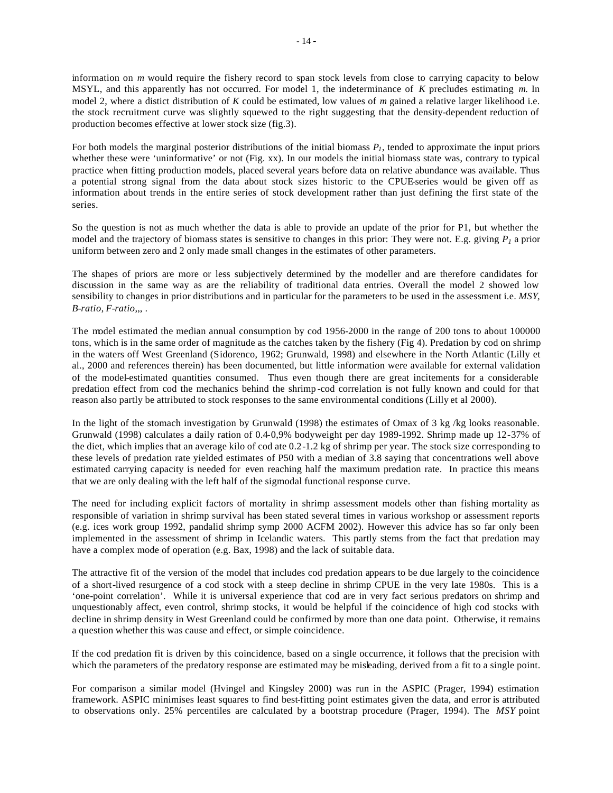information on *m* would require the fishery record to span stock levels from close to carrying capacity to below MSYL, and this apparently has not occurred. For model 1, the indeterminance of *K* precludes estimating *m*. In model 2, where a distict distribution of *K* could be estimated, low values of *m* gained a relative larger likelihood i.e. the stock recruitment curve was slightly squewed to the right suggesting that the density-dependent reduction of production becomes effective at lower stock size (fig.3).

For both models the marginal posterior distributions of the initial biomass *P1*, tended to approximate the input priors whether these were 'uninformative' or not (Fig. xx). In our models the initial biomass state was, contrary to typical practice when fitting production models, placed several years before data on relative abundance was available. Thus a potential strong signal from the data about stock sizes historic to the CPUE-series would be given off as information about trends in the entire series of stock development rather than just defining the first state of the series.

So the question is not as much whether the data is able to provide an update of the prior for P1, but whether the model and the trajectory of biomass states is sensitive to changes in this prior: They were not. E.g. giving  $P_I$  a prior uniform between zero and 2 only made small changes in the estimates of other parameters.

The shapes of priors are more or less subjectively determined by the modeller and are therefore candidates for discussion in the same way as are the reliability of traditional data entries. Overall the model 2 showed low sensibility to changes in prior distributions and in particular for the parameters to be used in the assessment i.e. *MSY*, *B-ratio*, *F-ratio*,,, .

The model estimated the median annual consumption by cod 1956-2000 in the range of 200 tons to about 100000 tons, which is in the same order of magnitude as the catches taken by the fishery (Fig 4). Predation by cod on shrimp in the waters off West Greenland (Sidorenco, 1962; Grunwald, 1998) and elsewhere in the North Atlantic (Lilly et al., 2000 and references therein) has been documented, but little information were available for external validation of the model-estimated quantities consumed. Thus even though there are great incitements for a considerable predation effect from cod the mechanics behind the shrimp -cod correlation is not fully known and could for that reason also partly be attributed to stock responses to the same environmental conditions (Lilly et al 2000).

In the light of the stomach investigation by Grunwald (1998) the estimates of Omax of 3 kg /kg looks reasonable. Grunwald (1998) calculates a daily ration of 0.4-0,9% bodyweight per day 1989-1992. Shrimp made up 12-37% of the diet, which implies that an average kilo of cod ate 0.2-1.2 kg of shrimp per year. The stock size corresponding to these levels of predation rate yielded estimates of P50 with a median of 3.8 saying that concentrations well above estimated carrying capacity is needed for even reaching half the maximum predation rate. In practice this means that we are only dealing with the left half of the sigmodal functional response curve.

The need for including explicit factors of mortality in shrimp assessment models other than fishing mortality as responsible of variation in shrimp survival has been stated several times in various workshop or assessment reports (e.g. ices work group 1992, pandalid shrimp symp 2000 ACFM 2002). However this advice has so far only been implemented in the assessment of shrimp in Icelandic waters. This partly stems from the fact that predation may have a complex mode of operation (e.g. Bax, 1998) and the lack of suitable data.

The attractive fit of the version of the model that includes cod predation appears to be due largely to the coincidence of a short-lived resurgence of a cod stock with a steep decline in shrimp CPUE in the very late 1980s. This is a 'one-point correlation'. While it is universal experience that cod are in very fact serious predators on shrimp and unquestionably affect, even control, shrimp stocks, it would be helpful if the coincidence of high cod stocks with decline in shrimp density in West Greenland could be confirmed by more than one data point. Otherwise, it remains a question whether this was cause and effect, or simple coincidence.

If the cod predation fit is driven by this coincidence, based on a single occurrence, it follows that the precision with which the parameters of the predatory response are estimated may be misleading, derived from a fit to a single point.

For comparison a similar model (Hvingel and Kingsley 2000) was run in the ASPIC (Prager, 1994) estimation framework. ASPIC minimises least squares to find best-fitting point estimates given the data, and error is attributed to observations only. 25% percentiles are calculated by a bootstrap procedure (Prager, 1994). The *MSY* point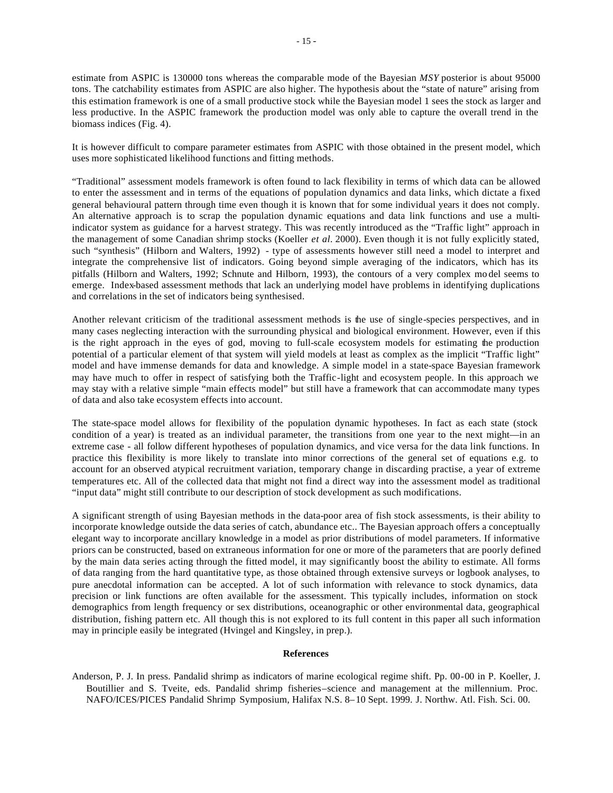estimate from ASPIC is 130000 tons whereas the comparable mode of the Bayesian *MSY* posterior is about 95000 tons. The catchability estimates from ASPIC are also higher. The hypothesis about the "state of nature" arising from this estimation framework is one of a small productive stock while the Bayesian model 1 sees the stock as larger and less productive. In the ASPIC framework the production model was only able to capture the overall trend in the biomass indices (Fig. 4).

It is however difficult to compare parameter estimates from ASPIC with those obtained in the present model, which uses more sophisticated likelihood functions and fitting methods.

"Traditional" assessment models framework is often found to lack flexibility in terms of which data can be allowed to enter the assessment and in terms of the equations of population dynamics and data links, which dictate a fixed general behavioural pattern through time even though it is known that for some individual years it does not comply. An alternative approach is to scrap the population dynamic equations and data link functions and use a multiindicator system as guidance for a harvest strategy. This was recently introduced as the "Traffic light" approach in the management of some Canadian shrimp stocks (Koeller *et al.* 2000). Even though it is not fully explicitly stated, such "synthesis" (Hilborn and Walters, 1992) - type of assessments however still need a model to interpret and integrate the comprehensive list of indicators. Going beyond simple averaging of the indicators, which has its pitfalls (Hilborn and Walters, 1992; Schnute and Hilborn, 1993), the contours of a very complex mo del seems to emerge. Index-based assessment methods that lack an underlying model have problems in identifying duplications and correlations in the set of indicators being synthesised.

Another relevant criticism of the traditional assessment methods is the use of single-species perspectives, and in many cases neglecting interaction with the surrounding physical and biological environment. However, even if this is the right approach in the eyes of god, moving to full-scale ecosystem models for estimating the production potential of a particular element of that system will yield models at least as complex as the implicit "Traffic light" model and have immense demands for data and knowledge. A simple model in a state-space Bayesian framework may have much to offer in respect of satisfying both the Traffic-light and ecosystem people. In this approach we may stay with a relative simple "main effects model" but still have a framework that can accommodate many types of data and also take ecosystem effects into account.

The state-space model allows for flexibility of the population dynamic hypotheses. In fact as each state (stock condition of a year) is treated as an individual parameter, the transitions from one year to the next might—in an extreme case - all follow different hypotheses of population dynamics, and vice versa for the data link functions. In practice this flexibility is more likely to translate into minor corrections of the general set of equations e.g. to account for an observed atypical recruitment variation, temporary change in discarding practise, a year of extreme temperatures etc. All of the collected data that might not find a direct way into the assessment model as traditional "input data" might still contribute to our description of stock development as such modifications.

A significant strength of using Bayesian methods in the data-poor area of fish stock assessments, is their ability to incorporate knowledge outside the data series of catch, abundance etc.. The Bayesian approach offers a conceptually elegant way to incorporate ancillary knowledge in a model as prior distributions of model parameters. If informative priors can be constructed, based on extraneous information for one or more of the parameters that are poorly defined by the main data series acting through the fitted model, it may significantly boost the ability to estimate. All forms of data ranging from the hard quantitative type, as those obtained through extensive surveys or logbook analyses, to pure anecdotal information can be accepted. A lot of such information with relevance to stock dynamics, data precision or link functions are often available for the assessment. This typically includes, information on stock demographics from length frequency or sex distributions, oceanographic or other environmental data, geographical distribution, fishing pattern etc. All though this is not explored to its full content in this paper all such information may in principle easily be integrated (Hvingel and Kingsley, in prep.).

## **References**

Anderson, P. J. In press. Pandalid shrimp as indicators of marine ecological regime shift. Pp. 00-00 in P. Koeller, J. Boutillier and S. Tveite, eds. Pandalid shrimp fisheries–science and management at the millennium. Proc. NAFO/ICES/PICES Pandalid Shrimp Symposium, Halifax N.S. 8–10 Sept. 1999. J. Northw. Atl. Fish. Sci. 00.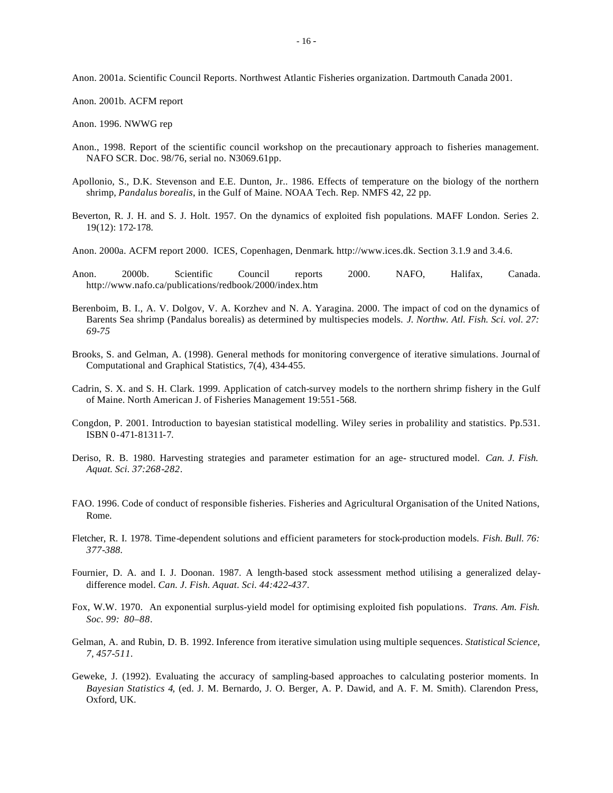Anon. 2001a. Scientific Council Reports. Northwest Atlantic Fisheries organization. Dartmouth Canada 2001.

Anon. 2001b. ACFM report

Anon. 1996. NWWG rep

- Anon., 1998. Report of the scientific council workshop on the precautionary approach to fisheries management. NAFO SCR. Doc. 98/76, serial no. N3069.61pp.
- Apollonio, S., D.K. Stevenson and E.E. Dunton, Jr.. 1986. Effects of temperature on the biology of the northern shrimp, *Pandalus borealis*, in the Gulf of Maine. NOAA Tech. Rep. NMFS 42, 22 pp.
- Beverton, R. J. H. and S. J. Holt. 1957. On the dynamics of exploited fish populations. MAFF London. Series 2. 19(12): 172-178.
- Anon. 2000a. ACFM report 2000. ICES, Copenhagen, Denmark. http://www.ices.dk. Section 3.1.9 and 3.4.6.
- Anon. 2000b. Scientific Council reports 2000. NAFO, Halifax, Canada. http://www.nafo.ca/publications/redbook/2000/index.htm
- Berenboim, B. I., A. V. Dolgov, V. A. Korzhev and N. A. Yaragina. 2000. The impact of cod on the dynamics of Barents Sea shrimp (Pandalus borealis) as determined by multispecies models. *J. Northw. Atl. Fish. Sci. vol. 27: 69-75*
- Brooks, S. and Gelman, A. (1998). General methods for monitoring convergence of iterative simulations. Journal of Computational and Graphical Statistics, 7(4), 434-455.
- Cadrin, S. X. and S. H. Clark. 1999. Application of catch-survey models to the northern shrimp fishery in the Gulf of Maine. North American J. of Fisheries Management 19:551-568.
- Congdon, P. 2001. Introduction to bayesian statistical modelling. Wiley series in probalility and statistics. Pp.531. ISBN 0-471-81311-7.
- Deriso, R. B. 1980. Harvesting strategies and parameter estimation for an age- structured model. *Can. J. Fish. Aquat. Sci. 37:268-282*.
- FAO. 1996. Code of conduct of responsible fisheries. Fisheries and Agricultural Organisation of the United Nations, Rome.
- Fletcher, R. I. 1978. Time-dependent solutions and efficient parameters for stock-production models. *Fish. Bull. 76: 377-388.*
- Fournier, D. A. and I. J. Doonan. 1987. A length-based stock assessment method utilising a generalized delaydifference model. *Can. J. Fish. Aquat. Sci. 44:422-437*.
- Fox, W.W. 1970. An exponential surplus-yield model for optimising exploited fish populations. *Trans. Am. Fish. Soc. 99: 80–88*.
- Gelman, A. and Rubin, D. B. 1992. Inference from iterative simulation using multiple sequences. *Statistical Science, 7, 457-511.*
- Geweke, J. (1992). Evaluating the accuracy of sampling-based approaches to calculating posterior moments. In *Bayesian Statistics 4*, (ed. J. M. Bernardo, J. O. Berger, A. P. Dawid, and A. F. M. Smith). Clarendon Press, Oxford, UK.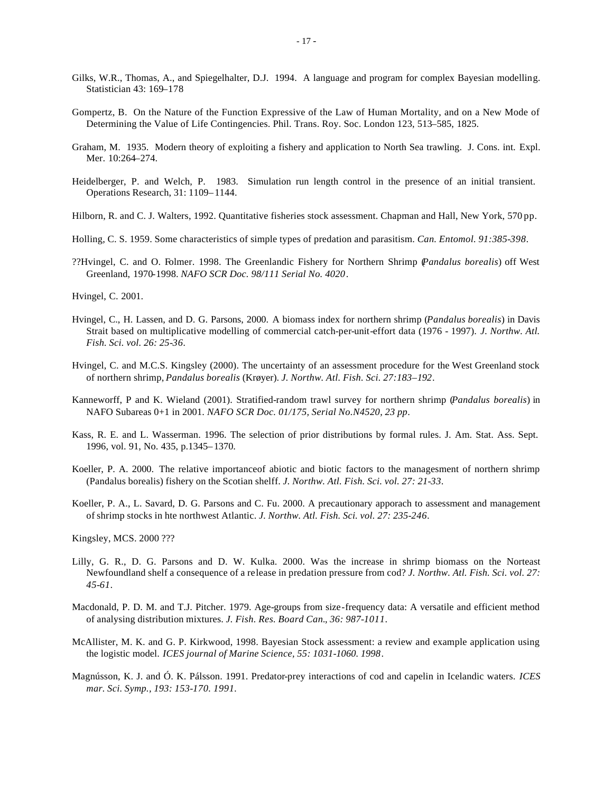- Gilks, W.R., Thomas, A., and Spiegelhalter, D.J. 1994. A language and program for complex Bayesian modelling. Statistician 43: 169–178
- Gompertz, B. On the Nature of the Function Expressive of the Law of Human Mortality, and on a New Mode of Determining the Value of Life Contingencies. Phil. Trans. Roy. Soc. London 123, 513–585, 1825.
- Graham, M. 1935. Modern theory of exploiting a fishery and application to North Sea trawling. J. Cons. int. Expl. Mer. 10:264–274.
- Heidelberger, P. and Welch, P. 1983. Simulation run length control in the presence of an initial transient. Operations Research, 31: 1109–1144.
- Hilborn, R. and C. J. Walters, 1992. Quantitative fisheries stock assessment. Chapman and Hall, New York, 570 pp.
- Holling, C. S. 1959. Some characteristics of simple types of predation and parasitism. *Can. Entomol. 91:385-398.*
- ??Hvingel, C. and O. Folmer. 1998. The Greenlandic Fishery for Northern Shrimp (*Pandalus borealis*) off West Greenland, 1970-1998. *NAFO SCR Doc. 98/111 Serial No. 4020*.
- Hvingel, C. 2001.
- Hvingel, C., H. Lassen, and D. G. Parsons, 2000. A biomass index for northern shrimp (*Pandalus borealis*) in Davis Strait based on multiplicative modelling of commercial catch-per-unit-effort data (1976 - 1997). *J. Northw. Atl. Fish. Sci. vol. 26: 25-36.*
- Hvingel, C. and M.C.S. Kingsley (2000). The uncertainty of an assessment procedure for the West Greenland stock of northern shrimp, *Pandalus borealis* (Krøyer). *J. Northw. Atl. Fish. Sci. 27:183–192*.
- Kanneworff, P and K. Wieland (2001). Stratified-random trawl survey for northern shrimp (*Pandalus borealis*) in NAFO Subareas 0+1 in 2001. *NAFO SCR Doc. 01/175, Serial No.N4520, 23 pp*.
- Kass, R. E. and L. Wasserman. 1996. The selection of prior distributions by formal rules. J. Am. Stat. Ass. Sept. 1996, vol. 91, No. 435, p.1345–1370.
- Koeller, P. A. 2000. The relative importanceof abiotic and biotic factors to the managesment of northern shrimp (Pandalus borealis) fishery on the Scotian shelff. *J. Northw. Atl. Fish. Sci. vol. 27: 21-33.*
- Koeller, P. A., L. Savard, D. G. Parsons and C. Fu. 2000. A precautionary apporach to assessment and management of shrimp stocks in hte northwest Atlantic. *J. Northw. Atl. Fish. Sci. vol. 27: 235-246.*
- Kingsley, MCS. 2000 ???
- Lilly, G. R., D. G. Parsons and D. W. Kulka. 2000. Was the increase in shrimp biomass on the Norteast Newfoundland shelf a consequence of a release in predation pressure from cod? *J. Northw. Atl. Fish. Sci. vol. 27: 45-61.*
- Macdonald, P. D. M. and T.J. Pitcher. 1979. Age-groups from size-frequency data: A versatile and efficient method of analysing distribution mixtures. *J. Fish. Res. Board Can., 36: 987-1011*.
- McAllister, M. K. and G. P. Kirkwood, 1998. Bayesian Stock assessment: a review and example application using the logistic model. *ICES journal of Marine Science, 55: 1031-1060. 1998*.
- Magnússon, K. J. and Ó. K. Pálsson. 1991. Predator-prey interactions of cod and capelin in Icelandic waters. *ICES mar. Sci. Symp., 193: 153-170. 1991.*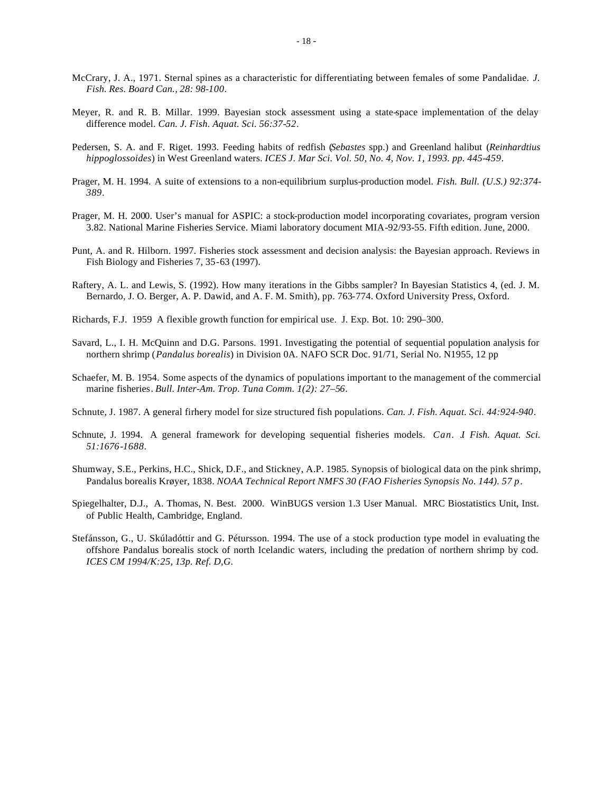- McCrary, J. A., 1971. Sternal spines as a characteristic for differentiating between females of some Pandalidae. *J. Fish. Res. Board Can., 28: 98-100*.
- Meyer, R. and R. B. Millar. 1999. Bayesian stock assessment using a state-space implementation of the delay difference model. *Can. J. Fish. Aquat. Sci. 56:37-52*.
- Pedersen, S. A. and F. Riget. 1993. Feeding habits of redfish (*Sebastes* spp.) and Greenland halibut (*Reinhardtius hippoglossoides*) in West Greenland waters. *ICES J. Mar Sci. Vol. 50, No. 4, Nov. 1, 1993. pp. 445-459*.
- Prager, M. H. 1994. A suite of extensions to a non-equilibrium surplus-production model. *Fish. Bull. (U.S.) 92:374- 389*.
- Prager, M. H. 2000. User's manual for ASPIC: a stock-production model incorporating covariates, program version 3.82. National Marine Fisheries Service. Miami laboratory document MIA-92/93-55. Fifth edition. June, 2000.
- Punt, A. and R. Hilborn. 1997. Fisheries stock assessment and decision analysis: the Bayesian approach. Reviews in Fish Biology and Fisheries 7, 35-63 (1997).
- Raftery, A. L. and Lewis, S. (1992). How many iterations in the Gibbs sampler? In Bayesian Statistics 4, (ed. J. M. Bernardo, J. O. Berger, A. P. Dawid, and A. F. M. Smith), pp. 763-774. Oxford University Press, Oxford.
- Richards, F.J. 1959 A flexible growth function for empirical use. J. Exp. Bot. 10: 290–300.
- Savard, L., I. H. McQuinn and D.G. Parsons. 1991. Investigating the potential of sequential population analysis for northern shrimp (*Pandalus borealis*) in Division 0A. NAFO SCR Doc. 91/71, Serial No. N1955, 12 pp
- Schaefer, M. B. 1954. Some aspects of the dynamics of populations important to the management of the commercial marine fisheries. *Bull. Inter-Am. Trop. Tuna Comm. 1(2): 27–56*.
- Schnute, J. 1987. A general firhery model for size structured fish populations. *Can. J. Fish. Aquat. Sci. 44:924-940*.
- Schnute, J. 1994. A general framework for developing sequential fisheries models. *Can. J. Fish. Aquat. Sci. 51:1676-1688*.
- Shumway, S.E., Perkins, H.C., Shick, D.F., and Stickney, A.P. 1985. Synopsis of biological data on the pink shrimp, Pandalus borealis Krøyer, 1838. *NOAA Technical Report NMFS 30 (FAO Fisheries Synopsis No. 144). 57 p*.
- Spiegelhalter, D.J., A. Thomas, N. Best. 2000. WinBUGS version 1.3 User Manual. MRC Biostatistics Unit, Inst. of Public Health, Cambridge, England.
- Stefánsson, G., U. Skúladóttir and G. Pétursson. 1994. The use of a stock production type model in evaluating the offshore Pandalus borealis stock of north Icelandic waters, including the predation of northern shrimp by cod. *ICES CM 1994/K:25, 13p. Ref. D,G.*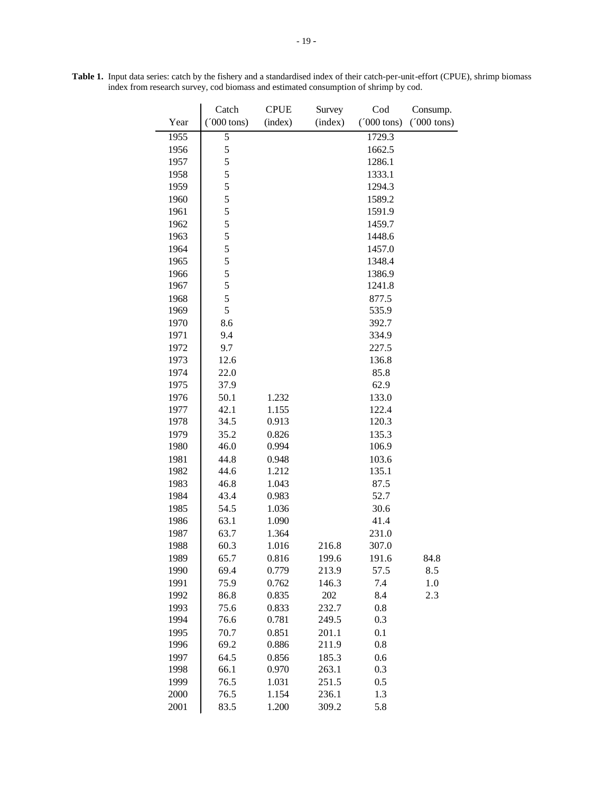|      | Catch                 | <b>CPUE</b> | Survey  | Cod                  |                      |
|------|-----------------------|-------------|---------|----------------------|----------------------|
| Year | $(7000 \text{ tons})$ | (index)     | (index) | $(000 \text{ tons})$ | $(000 \text{ tons})$ |
| 1955 | 5                     |             |         | 1729.3               |                      |
| 1956 | 5                     |             |         | 1662.5               |                      |
| 1957 | 5                     |             |         | 1286.1               |                      |
| 1958 | 5                     |             |         | 1333.1               |                      |
| 1959 | 5                     |             |         | 1294.3               |                      |
| 1960 | 5                     |             |         | 1589.2               |                      |
| 1961 | 5                     |             |         | 1591.9               |                      |
| 1962 | 5                     |             |         | 1459.7               |                      |
| 1963 | 5                     |             |         | 1448.6               |                      |
| 1964 | 5                     |             |         | 1457.0               |                      |
| 1965 | 5                     |             |         | 1348.4               |                      |
| 1966 | 5                     |             |         | 1386.9               |                      |
| 1967 | 5                     |             |         | 1241.8               |                      |
| 1968 | 5                     |             |         | 877.5                |                      |
| 1969 | 5                     |             |         | 535.9                |                      |
| 1970 | 8.6                   |             |         | 392.7                |                      |
| 1971 | 9.4                   |             |         | 334.9                |                      |
| 1972 | 9.7                   |             |         | 227.5                |                      |
| 1973 | 12.6                  |             |         | 136.8                |                      |
| 1974 | 22.0                  |             |         | 85.8                 |                      |
| 1975 | 37.9                  |             |         | 62.9                 |                      |
| 1976 | 50.1                  | 1.232       |         | 133.0                |                      |
| 1977 | 42.1                  | 1.155       |         | 122.4                |                      |
| 1978 | 34.5                  | 0.913       |         | 120.3                |                      |
| 1979 | 35.2                  | 0.826       |         | 135.3                |                      |
| 1980 | 46.0                  | 0.994       |         | 106.9                |                      |
| 1981 | 44.8                  | 0.948       |         | 103.6                |                      |
| 1982 | 44.6                  | 1.212       |         | 135.1                |                      |
| 1983 | 46.8                  | 1.043       |         | 87.5                 |                      |
| 1984 | 43.4                  | 0.983       |         | 52.7                 |                      |
| 1985 | 54.5                  | 1.036       |         | 30.6                 |                      |
| 1986 | 63.1                  | 1.090       |         | 41.4                 |                      |
| 1987 | 63.7                  | 1.364       |         | 231.0                |                      |
| 1988 | 60.3                  | 1.016       | 216.8   | 307.0                |                      |
| 1989 | 65.7                  | 0.816       | 199.6   | 191.6                | 84.8                 |
| 1990 | 69.4                  | 0.779       | 213.9   | 57.5                 | 8.5                  |
| 1991 | 75.9                  | 0.762       | 146.3   | 7.4                  | 1.0                  |
| 1992 | 86.8                  | 0.835       | 202     | 8.4                  | 2.3                  |
| 1993 | 75.6                  | 0.833       | 232.7   | 0.8                  |                      |
| 1994 | 76.6                  | 0.781       | 249.5   | 0.3                  |                      |
| 1995 | 70.7                  | 0.851       | 201.1   | 0.1                  |                      |
| 1996 | 69.2                  | 0.886       | 211.9   | 0.8                  |                      |
| 1997 | 64.5                  | 0.856       | 185.3   | 0.6                  |                      |
| 1998 | 66.1                  | 0.970       | 263.1   | 0.3                  |                      |
| 1999 | 76.5                  | 1.031       | 251.5   | 0.5                  |                      |
| 2000 | 76.5                  | 1.154       | 236.1   | 1.3                  |                      |
| 2001 | 83.5                  | 1.200       | 309.2   | 5.8                  |                      |

**Table 1.** Input data series: catch by the fishery and a standardised index of their catch-per-unit-effort (CPUE), shrimp biomass index from research survey, cod biomass and estimated consumption of shrimp by cod.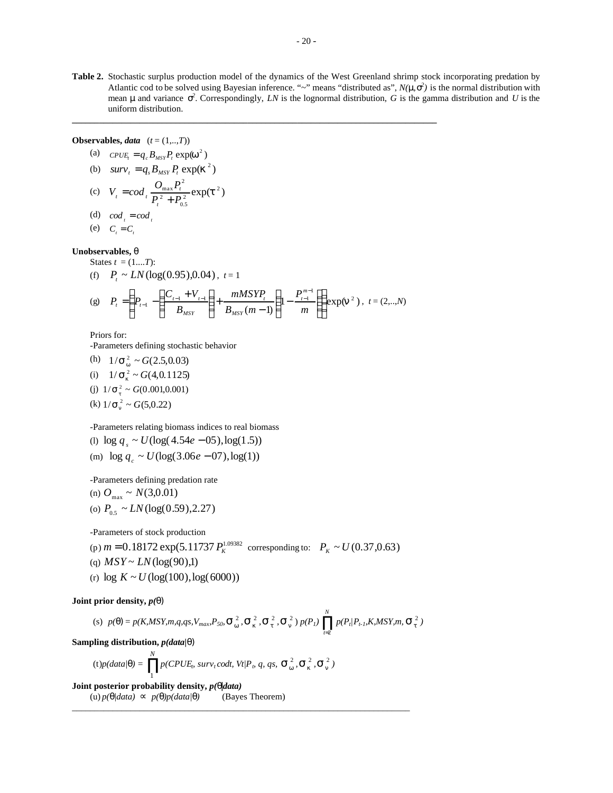**Table 2.** Stochastic surplus production model of the dynamics of the West Greenland shrimp stock incorporating predation by Atlantic cod to be solved using Bayesian inference. " $\sim$ " means "distributed as",  $N(m, s^2)$  is the normal distribution with mean **m** and variance  $s^2$ . Correspondingly, *LN* is the lognormal distribution, *G* is the gamma distribution and *U* is the uniform distribution.

**Observables,** *data* (*t* = (1,..,*T*))

(a) 
$$
CPUE_t = q_c B_{MSY} P_t \exp(\mathbf{w}^2)
$$

(b) 
$$
surv_t = q_s B_{MSY} P_t \exp(\mathbf{k}^2)
$$

(c) 
$$
V_t = cod_t \frac{O_{\text{max}} P_t^2}{P_t^2 + P_{0.5}^2} \exp(t^2)
$$

(d) 
$$
cod_{i} = cod_{i}
$$

$$
(e) \quad C_t = C_t
$$

### **Unobservables,** *q* States  $t = (1...T)$ :

(f) 
$$
P_t \sim LN(\log(0.95), 0.04), t = 1
$$
  
\n(g)  $P = \left( P - \left( \frac{C_{t-1} + V_{t-1}}{P_{t-1}} \right) + \frac{mMSYP_t}{P_{t-1}} \left( 1 - \frac{P_{t-1}^{m-1}}{P_{t-1}} \right) \right) \exp(r)$ 

(g) 
$$
P_t = \left(P_{t-1} - \left(\frac{C_{t-1} + V_{t-1}}{B_{MSY}}\right) + \frac{mMSYP_t}{B_{MSY}(m-1)}\right)\left(1 - \frac{P_{t-1}^{m-1}}{m}\right)\right) \exp(\mathbf{n}^2)
$$
,  $t = (2, ..., N)$ 

**\_\_\_\_\_\_\_\_\_\_\_\_\_\_\_\_\_\_\_\_\_\_\_\_\_\_\_\_\_\_\_\_\_\_\_\_\_\_\_\_\_\_\_\_\_\_\_\_\_\_\_\_\_\_\_\_\_\_\_\_\_\_\_\_\_\_\_\_\_\_\_\_\_\_\_\_\_\_\_\_\_**

Priors for:

-Parameters defining stochastic behavior

(h)  $1/\mathbf{s}_{w}^{2} \sim G(2.5, 0.03)$ (i)  $1/\mathbf{s}_k^2 \sim G(4, 0.1125)$ (j)  $1/\mathbf{s}_t^2 \sim G(0.001, 0.001)$ (k)  $1/\mathbf{s}_n^2 \sim G(5, 0.22)$ 

-Parameters relating biomass indices to real biomass

$$
(1) \log q_s \sim U(\log(4.54e - 05), \log(1.5))
$$

(m)  $\log q_c \sim U(\log(3.06e - 07), \log(1))$ 

-Parameters defining predation rate

(n) 
$$
O_{\text{max}} \sim N(3,0.01)
$$
  
(o)  $P_{0.5} \sim LN(\log(0.59), 2.27)$ 

-Parameters of stock production

- $p_p(m=0.18172 \exp(5.11737 \, P_K^{1.09382} \text{ corresponding to: } P_K \sim U(0.37, 0.63)$
- (q)  $MSY \sim LN(\log(90),1)$
- (r)  $\log K \sim U(\log(100), \log(6000))$

# **Joint prior density,** *p(q)*

(s) 
$$
p(\mathbf{q}) = p(K, MSY, m, q, qs, V_{max}, P_{50}, \mathbf{S}_{w}^{2}, \mathbf{S}_{k}^{2}, \mathbf{S}_{t}^{2}, \mathbf{S}_{n}^{2}) p(P_{l}) \prod_{t=2}^{N} p(P_{t} | P_{t-l}, K, MSY, m, \mathbf{S}_{t}^{2})
$$

**Sampling distribution,** *p(data|q)*

$$
(\text{t})p(data|\mathbf{q}) = \prod_{1}^{N} p(CPUE_{b} \text{ surv}_{t} \text{codt, } Vt/P_{b} \text{ q, qs, } \mathbf{S}_{w}^{2}, \mathbf{S}_{h}^{2}, \mathbf{S}_{n}^{2})
$$

**Joint posterior probability density,** *p(q|data)* (u)  $p(\mathbf{q}/data) \propto p(\mathbf{q})p(data/\mathbf{q})$  (Bayes Theorem) \_\_\_\_\_\_\_\_\_\_\_\_\_\_\_\_\_\_\_\_\_\_\_\_\_\_\_\_\_\_\_\_\_\_\_\_\_\_\_\_\_\_\_\_\_\_\_\_\_\_\_\_\_\_\_\_\_\_\_\_\_\_\_\_\_\_\_\_\_\_\_\_\_\_\_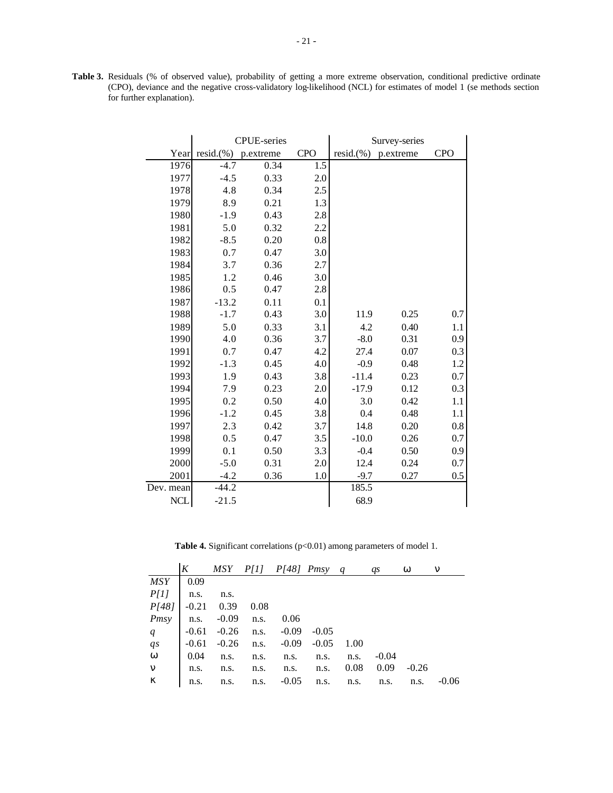**Table 3.** Residuals (% of observed value), probability of getting a more extreme observation, conditional predictive ordinate (CPO), deviance and the negative cross-validatory log-likelihood (NCL) for estimates of model 1 (se methods section for further explanation).

|            |              | <b>CPUE-series</b> |            | Survey-series |           |            |  |
|------------|--------------|--------------------|------------|---------------|-----------|------------|--|
| Year       | $resid.$ (%) | p.extreme          | <b>CPO</b> | $resid.$ (%)  | p.extreme | <b>CPO</b> |  |
| 1976       | $-4.7$       | 0.34               | 1.5        |               |           |            |  |
| 1977       | $-4.5$       | 0.33               | 2.0        |               |           |            |  |
| 1978       | 4.8          | 0.34               | 2.5        |               |           |            |  |
| 1979       | 8.9          | 0.21               | 1.3        |               |           |            |  |
| 1980       | $-1.9$       | 0.43               | 2.8        |               |           |            |  |
| 1981       | 5.0          | 0.32               | 2.2        |               |           |            |  |
| 1982       | $-8.5$       | 0.20               | 0.8        |               |           |            |  |
| 1983       | 0.7          | 0.47               | 3.0        |               |           |            |  |
| 1984       | 3.7          | 0.36               | 2.7        |               |           |            |  |
| 1985       | 1.2          | 0.46               | 3.0        |               |           |            |  |
| 1986       | 0.5          | 0.47               | 2.8        |               |           |            |  |
| 1987       | $-13.2$      | 0.11               | 0.1        |               |           |            |  |
| 1988       | $-1.7$       | 0.43               | 3.0        | 11.9          | 0.25      | 0.7        |  |
| 1989       | 5.0          | 0.33               | 3.1        | 4.2           | 0.40      | 1.1        |  |
| 1990       | 4.0          | 0.36               | 3.7        | $-8.0$        | 0.31      | 0.9        |  |
| 1991       | 0.7          | 0.47               | 4.2        | 27.4          | 0.07      | 0.3        |  |
| 1992       | $-1.3$       | 0.45               | 4.0        | $-0.9$        | 0.48      | 1.2        |  |
| 1993       | 1.9          | 0.43               | 3.8        | $-11.4$       | 0.23      | 0.7        |  |
| 1994       | 7.9          | 0.23               | 2.0        | $-17.9$       | 0.12      | 0.3        |  |
| 1995       | 0.2          | 0.50               | 4.0        | 3.0           | 0.42      | 1.1        |  |
| 1996       | $-1.2$       | 0.45               | 3.8        | 0.4           | 0.48      | 1.1        |  |
| 1997       | 2.3          | 0.42               | 3.7        | 14.8          | 0.20      | 0.8        |  |
| 1998       | 0.5          | 0.47               | 3.5        | $-10.0$       | 0.26      | 0.7        |  |
| 1999       | 0.1          | 0.50               | 3.3        | $-0.4$        | 0.50      | 0.9        |  |
| 2000       | $-5.0$       | 0.31               | 2.0        | 12.4          | 0.24      | 0.7        |  |
| 2001       | $-4.2$       | 0.36               | 1.0        | $-9.7$        | 0.27      | 0.5        |  |
| Dev. mean  | $-44.2$      |                    |            | 185.5         |           |            |  |
| <b>NCL</b> | $-21.5$      |                    |            | 68.9          |           |            |  |

Table 4. Significant correlations (p<0.01) among parameters of model 1.

|                  |                             | $K$ MSY $P[1]$ $P[48]$ Pmsy q                                                                                                       |  | qs                                         | W       | n       |
|------------------|-----------------------------|-------------------------------------------------------------------------------------------------------------------------------------|--|--------------------------------------------|---------|---------|
| $MSY$ 0.09       |                             |                                                                                                                                     |  |                                            |         |         |
| $P[1]$ n.s.      | n.s.                        |                                                                                                                                     |  |                                            |         |         |
|                  | $P[48]$ -0.21 0.39 0.08     |                                                                                                                                     |  |                                            |         |         |
|                  | Pmsy   n.s. -0.09 n.s. 0.06 |                                                                                                                                     |  |                                            |         |         |
|                  |                             | $\begin{array}{c cccccc}\nq & -0.61 & -0.26 & n.s. & -0.09 & -0.05 \\ q & -0.61 & -0.26 & n.s. & -0.09 & -0.05 & 1.00\n\end{array}$ |  |                                            |         |         |
|                  |                             |                                                                                                                                     |  |                                            |         |         |
|                  |                             | $w = 0.04$ n.s. n.s. n.s. n.s. n.s.                                                                                                 |  | $-0.04$                                    |         |         |
|                  |                             | $\boldsymbol{n}$ n.s. n.s. n.s. n.s. n.s.                                                                                           |  | $0.08$ 0.09                                | $-0.26$ |         |
| $\boldsymbol{k}$ |                             |                                                                                                                                     |  | n.s. n.s. n.s. $-0.05$ n.s. n.s. n.s. n.s. |         | $-0.06$ |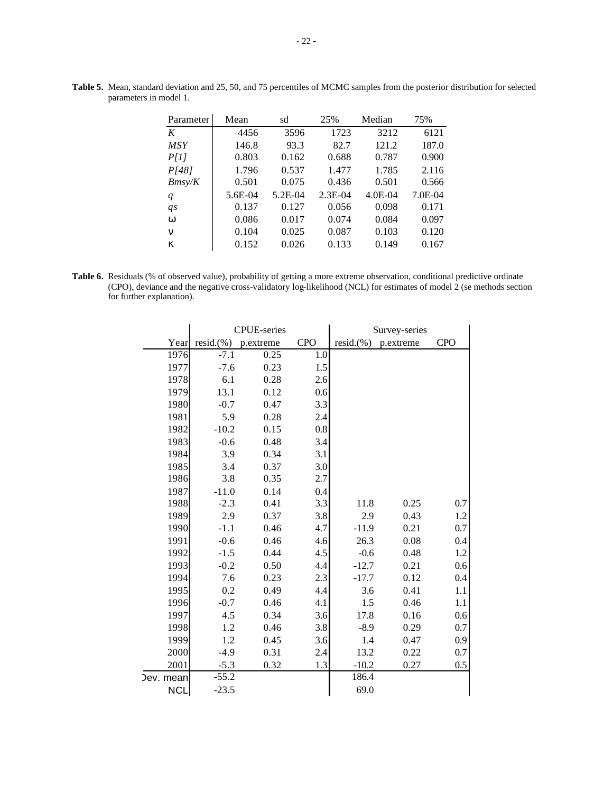| Parameter        | Mean    | sd      | 25%       | Median    | 75%     |
|------------------|---------|---------|-----------|-----------|---------|
| K                | 4456    | 3596    | 1723      | 3212      | 6121    |
| <i>MSY</i>       | 146.8   | 93.3    | 82.7      | 121.2     | 187.0   |
| P[1]             | 0.803   | 0.162   | 0.688     | 0.787     | 0.900   |
| P[48]            | 1.796   | 0.537   | 1.477     | 1.785     | 2.116   |
| Bmsy/K           | 0.501   | 0.075   | 0.436     | 0.501     | 0.566   |
| q                | 5.6E-04 | 5.2E-04 | $2.3E-04$ | $4.0E-04$ | 7.0E-04 |
| qs               | 0.137   | 0.127   | 0.056     | 0.098     | 0.171   |
| W                | 0.086   | 0.017   | 0.074     | 0.084     | 0.097   |
| n                | 0.104   | 0.025   | 0.087     | 0.103     | 0.120   |
| $\boldsymbol{k}$ | 0.152   | 0.026   | 0.133     | 0.149     | 0.167   |

**Table 5.** Mean, standard deviation and 25, 50, and 75 percentiles of MCMC samples from the posterior distribution for selected parameters in model 1.

**Table 6.** Residuals (% of observed value), probability of getting a more extreme observation, conditional predictive ordinate (CPO), deviance and the negative cross-validatory log-likelihood (NCL) for estimates of model 2 (se methods section for further explanation).

|            |              | <b>CPUE-series</b> |            | Survey-series |           |            |  |
|------------|--------------|--------------------|------------|---------------|-----------|------------|--|
| Year       | $resid.$ (%) | p.extreme          | <b>CPO</b> | $resid.$ (%)  | p.extreme | <b>CPO</b> |  |
| 1976       | $-7.1$       | 0.25               | 1.0        |               |           |            |  |
| 1977       | $-7.6$       | 0.23               | 1.5        |               |           |            |  |
| 1978       | 6.1          | 0.28               | 2.6        |               |           |            |  |
| 1979       | 13.1         | 0.12               | 0.6        |               |           |            |  |
| 1980       | $-0.7$       | 0.47               | 3.3        |               |           |            |  |
| 1981       | 5.9          | 0.28               | 2.4        |               |           |            |  |
| 1982       | $-10.2$      | 0.15               | 0.8        |               |           |            |  |
| 1983       | $-0.6$       | 0.48               | 3.4        |               |           |            |  |
| 1984       | 3.9          | 0.34               | 3.1        |               |           |            |  |
| 1985       | 3.4          | 0.37               | 3.0        |               |           |            |  |
| 1986       | 3.8          | 0.35               | 2.7        |               |           |            |  |
| 1987       | $-11.0$      | 0.14               | 0.4        |               |           |            |  |
| 1988       | $-2.3$       | 0.41               | 3.3        | 11.8          | 0.25      | 0.7        |  |
| 1989       | 2.9          | 0.37               | 3.8        | 2.9           | 0.43      | 1.2        |  |
| 1990       | $-1.1$       | 0.46               | 4.7        | $-11.9$       | 0.21      | 0.7        |  |
| 1991       | $-0.6$       | 0.46               | 4.6        | 26.3          | 0.08      | 0.4        |  |
| 1992       | $-1.5$       | 0.44               | 4.5        | $-0.6$        | 0.48      | 1.2        |  |
| 1993       | $-0.2$       | 0.50               | 4.4        | $-12.7$       | 0.21      | 0.6        |  |
| 1994       | 7.6          | 0.23               | 2.3        | $-17.7$       | 0.12      | 0.4        |  |
| 1995       | 0.2          | 0.49               | 4.4        | 3.6           | 0.41      | 1.1        |  |
| 1996       | $-0.7$       | 0.46               | 4.1        | 1.5           | 0.46      | 1.1        |  |
| 1997       | 4.5          | 0.34               | 3.6        | 17.8          | 0.16      | 0.6        |  |
| 1998       | 1.2          | 0.46               | 3.8        | $-8.9$        | 0.29      | 0.7        |  |
| 1999       | 1.2          | 0.45               | 3.6        | 1.4           | 0.47      | 0.9        |  |
| 2000       | $-4.9$       | 0.31               | 2.4        | 13.2          | 0.22      | 0.7        |  |
| 2001       | $-5.3$       | 0.32               | 1.3        | $-10.2$       | 0.27      | 0.5        |  |
| Jev. mean  | $-55.2$      |                    |            | 186.4         |           |            |  |
| <b>NCL</b> | $-23.5$      |                    |            | 69.0          |           |            |  |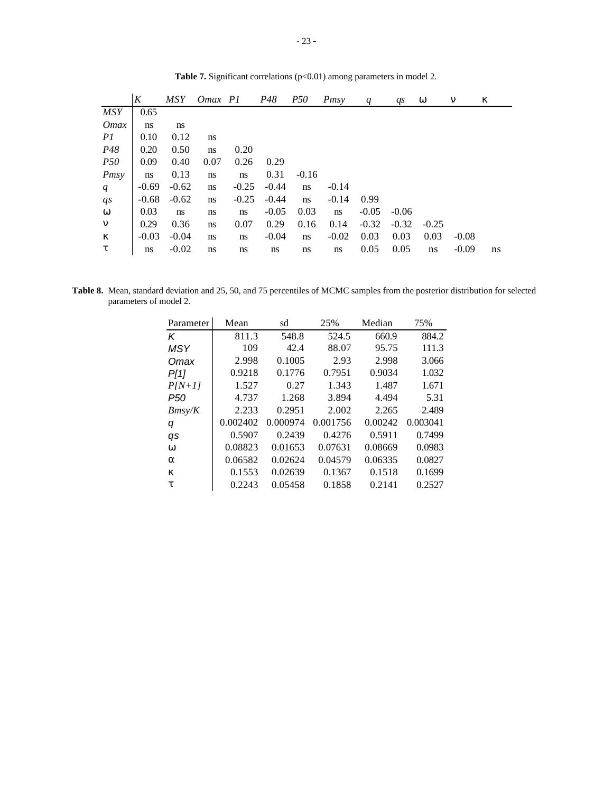|                  | $\boldsymbol{K}$ | <b>MSY</b> | Omax P1 |         | P48     | <i>P50</i> | Pmsy    | q       | qs      | W       | n       | $\boldsymbol{k}$ |
|------------------|------------------|------------|---------|---------|---------|------------|---------|---------|---------|---------|---------|------------------|
| <b>MSY</b>       | 0.65             |            |         |         |         |            |         |         |         |         |         |                  |
| <i>Omax</i>      | ns               | ns         |         |         |         |            |         |         |         |         |         |                  |
| PI               | 0.10             | 0.12       | ns      |         |         |            |         |         |         |         |         |                  |
| P48              | 0.20             | 0.50       | ns      | 0.20    |         |            |         |         |         |         |         |                  |
| <i>P50</i>       | 0.09             | 0.40       | 0.07    | 0.26    | 0.29    |            |         |         |         |         |         |                  |
| Pmsy             | ns               | 0.13       | ns      | ns      | 0.31    | $-0.16$    |         |         |         |         |         |                  |
| q                | $-0.69$          | $-0.62$    | ns      | $-0.25$ | $-0.44$ | ns         | $-0.14$ |         |         |         |         |                  |
| $q_{s}$          | $-0.68$          | $-0.62$    | ns      | $-0.25$ | $-0.44$ | ns         | $-0.14$ | 0.99    |         |         |         |                  |
| W                | 0.03             | ns         | ns      | ns      | $-0.05$ | 0.03       | ns      | $-0.05$ | $-0.06$ |         |         |                  |
| $\mathbf n$      | 0.29             | 0.36       | ns      | 0.07    | 0.29    | 0.16       | 0.14    | $-0.32$ | $-0.32$ | $-0.25$ |         |                  |
| $\boldsymbol{k}$ | $-0.03$          | $-0.04$    | ns      | ns      | $-0.04$ | ns         | $-0.02$ | 0.03    | 0.03    | 0.03    | $-0.08$ |                  |
| t                | ns               | $-0.02$    | ns      | ns      | ns      | ns         | ns      | 0.05    | 0.05    | ns      | $-0.09$ | ns.              |

Table 7. Significant correlations (p<0.01) among parameters in model 2.

**Table 8.** Mean, standard deviation and 25, 50, and 75 percentiles of MCMC samples from the posterior distribution for selected parameters of model 2.

| Parameter | Mean     | sd       | 25%      | Median  | 75%      |
|-----------|----------|----------|----------|---------|----------|
| ĸ         | 811.3    | 548.8    | 524.5    | 660.9   | 884.2    |
| MSY       | 109      | 42.4     | 88.07    | 95.75   | 111.3    |
| Omax      | 2.998    | 0.1005   | 2.93     | 2.998   | 3.066    |
| P[1]      | 0.9218   | 0.1776   | 0.7951   | 0.9034  | 1.032    |
| $P[N+1]$  | 1.527    | 0.27     | 1.343    | 1.487   | 1.671    |
| P50       | 4.737    | 1.268    | 3.894    | 4.494   | 5.31     |
| Bmsv/K    | 2.233    | 0.2951   | 2.002    | 2.265   | 2.489    |
| q         | 0.002402 | 0.000974 | 0.001756 | 0.00242 | 0.003041 |
| qs        | 0.5907   | 0.2439   | 0.4276   | 0.5911  | 0.7499   |
| W         | 0.08823  | 0.01653  | 0.07631  | 0.08669 | 0.0983   |
| a         | 0.06582  | 0.02624  | 0.04579  | 0.06335 | 0.0827   |
| k         | 0.1553   | 0.02639  | 0.1367   | 0.1518  | 0.1699   |
| t         | 0.2243   | 0.05458  | 0.1858   | 0.2141  | 0.2527   |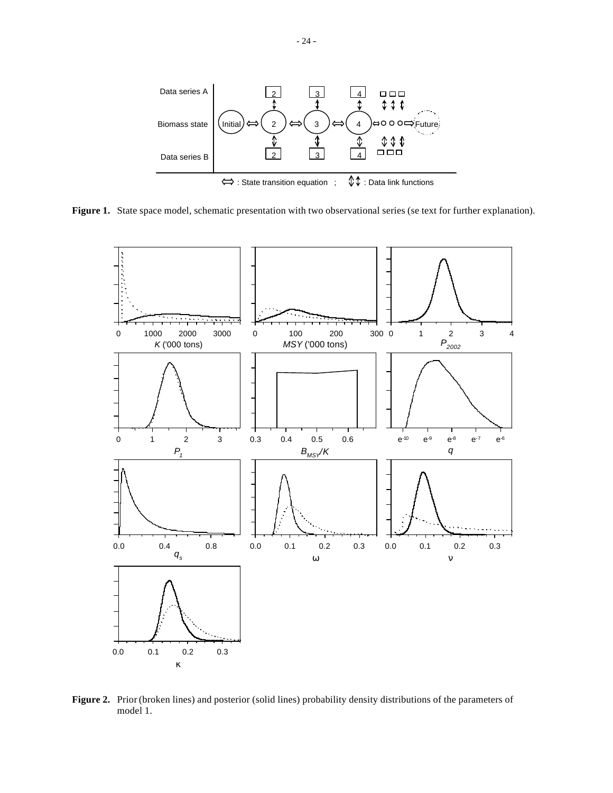

Figure 1. State space model, schematic presentation with two observational series (se text for further explanation).



**Figure 2.** Prior (broken lines) and posterior (solid lines) probability density distributions of the parameters of model 1.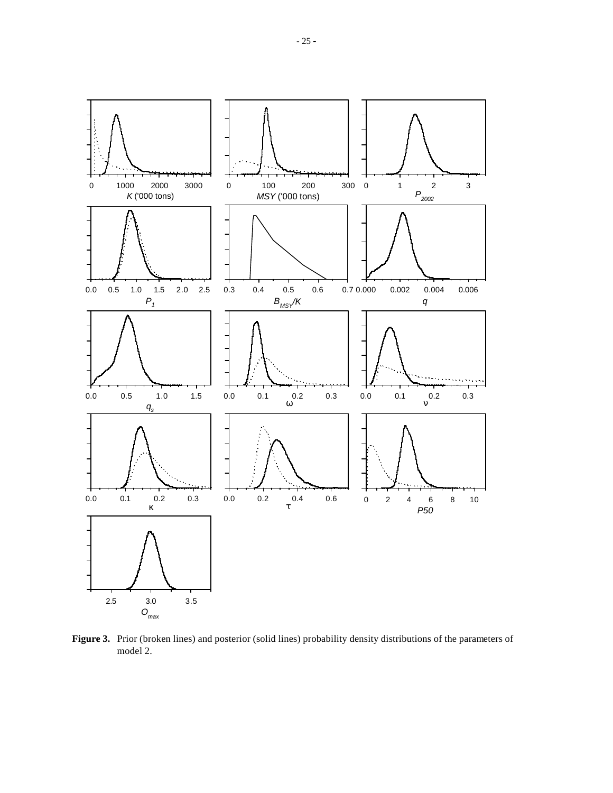

**Figure 3.** Prior (broken lines) and posterior (solid lines) probability density distributions of the parameters of model 2.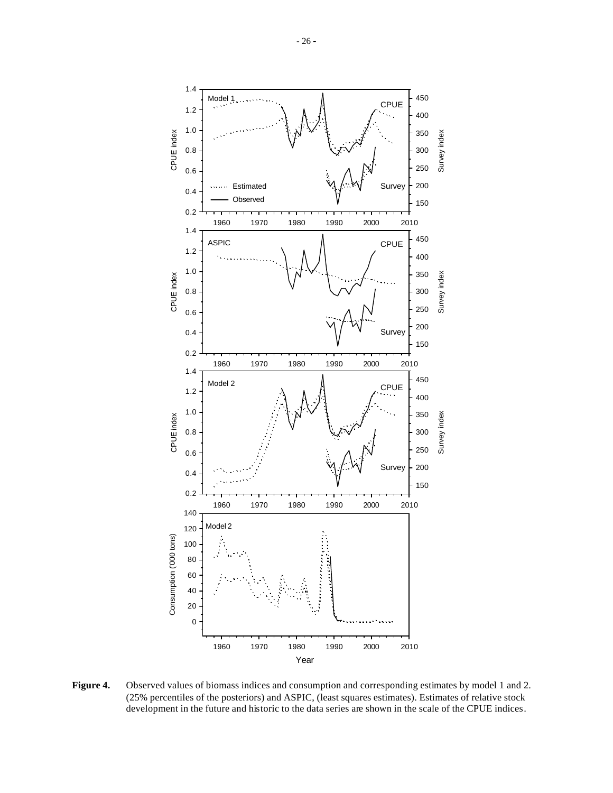

**Figure 4.** Observed values of biomass indices and consumption and corresponding estimates by model 1 and 2. (25% percentiles of the posteriors) and ASPIC, (least squares estimates). Estimates of relative stock development in the future and historic to the data series are shown in the scale of the CPUE indices.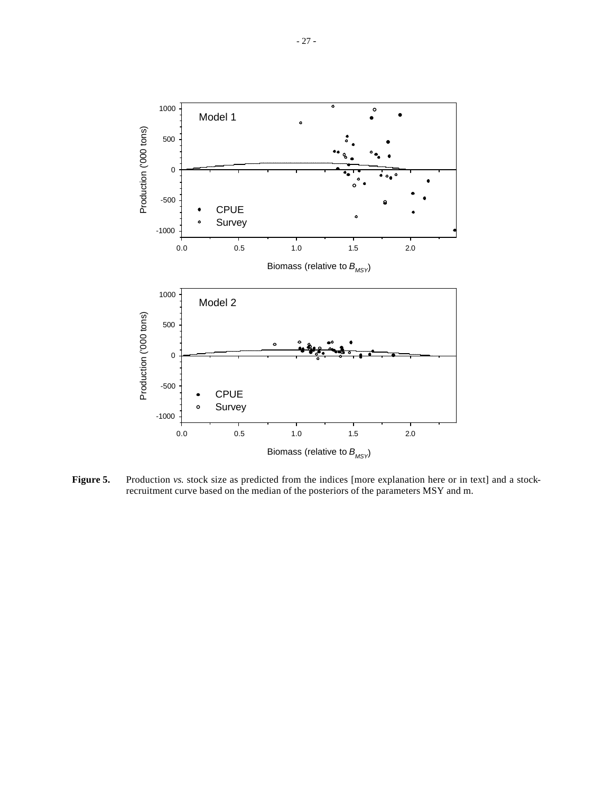

Figure 5. Production *vs.* stock size as predicted from the indices [more explanation here or in text] and a stockrecruitment curve based on the median of the posteriors of the parameters MSY and m.